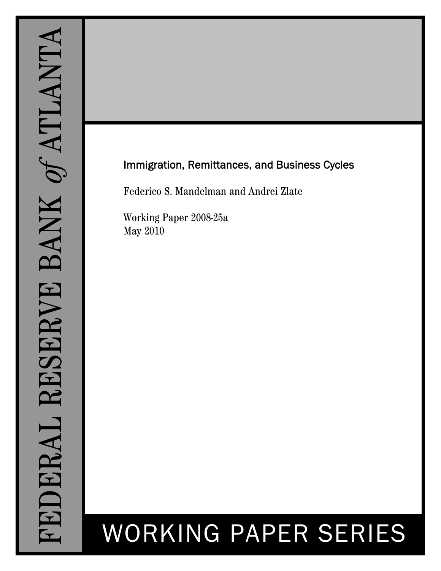## Immigration, Remittances, and Business Cycles

Federico S. Mandelman and Andrei Zlate

Working Paper 2008-25a May 2010

# WORKING PAPER SERIES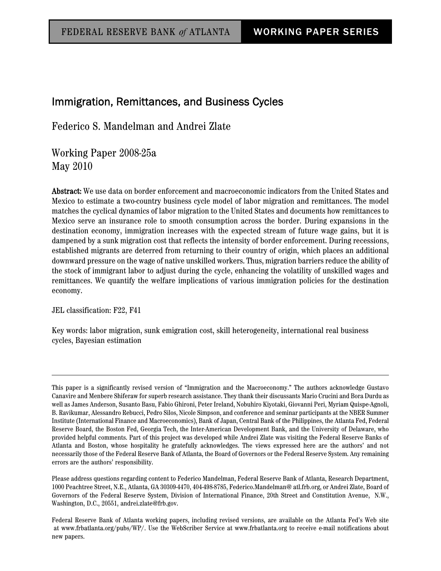## Immigration, Remittances, and Business Cycles

Federico S. Mandelman and Andrei Zlate

Working Paper 2008-25a May 2010

Abstract: We use data on border enforcement and macroeconomic indicators from the United States and Mexico to estimate a two-country business cycle model of labor migration and remittances. The model matches the cyclical dynamics of labor migration to the United States and documents how remittances to Mexico serve an insurance role to smooth consumption across the border. During expansions in the destination economy, immigration increases with the expected stream of future wage gains, but it is dampened by a sunk migration cost that reflects the intensity of border enforcement. During recessions, established migrants are deterred from returning to their country of origin, which places an additional downward pressure on the wage of native unskilled workers. Thus, migration barriers reduce the ability of the stock of immigrant labor to adjust during the cycle, enhancing the volatility of unskilled wages and remittances. We quantify the welfare implications of various immigration policies for the destination economy.

JEL classification: F22, F41

Key words: labor migration, sunk emigration cost, skill heterogeneity, international real business cycles, Bayesian estimation

This paper is a significantly revised version of "Immigration and the Macroeconomy." The authors acknowledge Gustavo Canavire and Menbere Shiferaw for superb research assistance. They thank their discussants Mario Crucini and Bora Durdu as well as James Anderson, Susanto Basu, Fabio Ghironi, Peter Ireland, Nobuhiro Kiyotaki, Giovanni Peri, Myriam Quispe-Agnoli, B. Ravikumar, Alessandro Rebucci, Pedro Silos, Nicole Simpson, and conference and seminar participants at the NBER Summer Institute (International Finance and Macroeconomics), Bank of Japan, Central Bank of the Philippines, the Atlanta Fed, Federal Reserve Board, the Boston Fed, Georgia Tech, the Inter-American Development Bank, and the University of Delaware, who provided helpful comments. Part of this project was developed while Andrei Zlate was visiting the Federal Reserve Banks of Atlanta and Boston, whose hospitality he gratefully acknowledges. The views expressed here are the authors' and not necessarily those of the Federal Reserve Bank of Atlanta, the Board of Governors or the Federal Reserve System. Any remaining errors are the authors' responsibility.

Please address questions regarding content to Federico Mandelman, Federal Reserve Bank of Atlanta, Research Department, 1000 Peachtree Street, N.E., Atlanta, GA 30309-4470, 404-498-8785, Federico.Mandelman@ atl.frb.org, or Andrei Zlate, Board of Governors of the Federal Reserve System, Division of International Finance, 20th Street and Constitution Avenue, N.W., Washington, D.C., 20551, andrei.zlate@frb.gov.

Federal Reserve Bank of Atlanta working papers, including revised versions, are available on the Atlanta Fed's Web site at www.frbatlanta.org/pubs/WP/. Use the WebScriber Service at www.frbatlanta.org to receive e-mail notifications about new papers.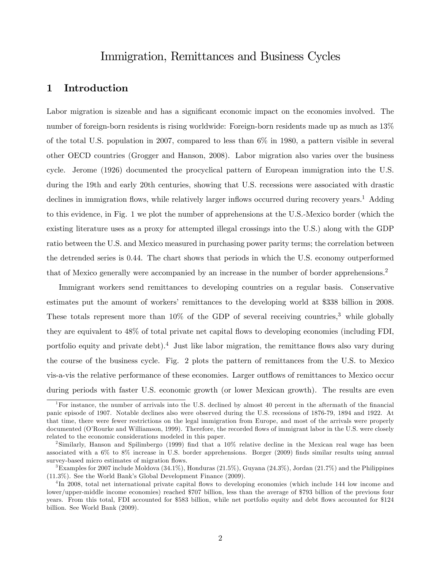## Immigration, Remittances and Business Cycles

## 1 Introduction

Labor migration is sizeable and has a significant economic impact on the economies involved. The number of foreign-born residents is rising worldwide: Foreign-born residents made up as much as 13% of the total U.S. population in 2007, compared to less than 6% in 1980, a pattern visible in several other OECD countries (Grogger and Hanson, 2008). Labor migration also varies over the business cycle. Jerome (1926) documented the procyclical pattern of European immigration into the U.S. during the 19th and early 20th centuries, showing that U.S. recessions were associated with drastic declines in immigration flows, while relatively larger inflows occurred during recovery years.<sup>1</sup> Adding to this evidence, in Fig. 1 we plot the number of apprehensions at the U.S.-Mexico border (which the existing literature uses as a proxy for attempted illegal crossings into the U.S.) along with the GDP ratio between the U.S. and Mexico measured in purchasing power parity terms; the correlation between the detrended series is 0.44. The chart shows that periods in which the U.S. economy outperformed that of Mexico generally were accompanied by an increase in the number of border apprehensions.<sup>2</sup>

Immigrant workers send remittances to developing countries on a regular basis. Conservative estimates put the amount of workers' remittances to the developing world at \$338 billion in 2008. These totals represent more than  $10\%$  of the GDP of several receiving countries,<sup>3</sup> while globally they are equivalent to  $48\%$  of total private net capital flows to developing economies (including FDI, portfolio equity and private debt).<sup>4</sup> Just like labor migration, the remittance flows also vary during the course of the business cycle. Fig. 2 plots the pattern of remittances from the U.S. to Mexico vis-a-vis the relative performance of these economies. Larger outflows of remittances to Mexico occur during periods with faster U.S. economic growth (or lower Mexican growth). The results are even

<sup>&</sup>lt;sup>1</sup>For instance, the number of arrivals into the U.S. declined by almost 40 percent in the aftermath of the financial panic episode of 1907. Notable declines also were observed during the U.S. recessions of 1876-79, 1894 and 1922. At that time, there were fewer restrictions on the legal immigration from Europe, and most of the arrivals were properly documented (O'Rourke and Williamson, 1999). Therefore, the recorded flows of immigrant labor in the U.S. were closely related to the economic considerations modeled in this paper.

<sup>&</sup>lt;sup>2</sup>Similarly, Hanson and Spilimbergo (1999) find that a 10% relative decline in the Mexican real wage has been associated with a 6% to 8% increase in U.S. border apprehensions. Borger (2009) Önds similar results using annual survey-based micro estimates of migration flows.

 $3$ Examples for 2007 include Moldova  $(34.1\%)$ , Honduras  $(21.5\%)$ , Guyana  $(24.3\%)$ , Jordan  $(21.7\%)$  and the Philippines  $(11.3\%)$ . See the World Bank's Global Development Finance  $(2009)$ .

<sup>&</sup>lt;sup>4</sup>In 2008, total net international private capital flows to developing economies (which include 144 low income and lower/upper-middle income economies) reached \$707 billion, less than the average of \$793 billion of the previous four years. From this total, FDI accounted for \$583 billion, while net portfolio equity and debt flows accounted for \$124 billion. See World Bank (2009).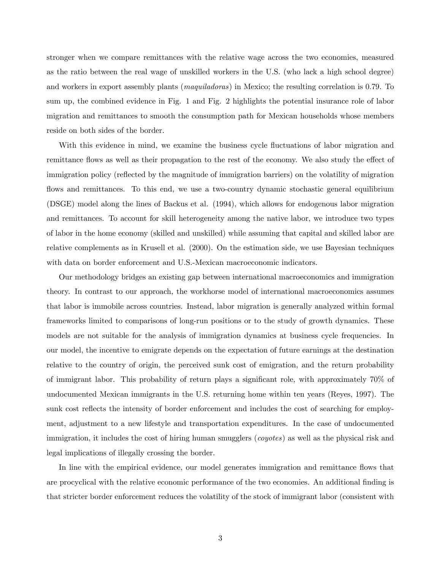stronger when we compare remittances with the relative wage across the two economies, measured as the ratio between the real wage of unskilled workers in the U.S. (who lack a high school degree) and workers in export assembly plants (*maquiladoras*) in Mexico; the resulting correlation is 0.79. To sum up, the combined evidence in Fig. 1 and Fig. 2 highlights the potential insurance role of labor migration and remittances to smooth the consumption path for Mexican households whose members reside on both sides of the border.

With this evidence in mind, we examine the business cycle fluctuations of labor migration and remittance flows as well as their propagation to the rest of the economy. We also study the effect of immigration policy (reflected by the magnitude of immigration barriers) on the volatility of migration flows and remittances. To this end, we use a two-country dynamic stochastic general equilibrium (DSGE) model along the lines of Backus et al. (1994), which allows for endogenous labor migration and remittances. To account for skill heterogeneity among the native labor, we introduce two types of labor in the home economy (skilled and unskilled) while assuming that capital and skilled labor are relative complements as in Krusell et al. (2000). On the estimation side, we use Bayesian techniques with data on border enforcement and U.S.-Mexican macroeconomic indicators.

Our methodology bridges an existing gap between international macroeconomics and immigration theory. In contrast to our approach, the workhorse model of international macroeconomics assumes that labor is immobile across countries. Instead, labor migration is generally analyzed within formal frameworks limited to comparisons of long-run positions or to the study of growth dynamics. These models are not suitable for the analysis of immigration dynamics at business cycle frequencies. In our model, the incentive to emigrate depends on the expectation of future earnings at the destination relative to the country of origin, the perceived sunk cost of emigration, and the return probability of immigrant labor. This probability of return plays a significant role, with approximately  $70\%$  of undocumented Mexican immigrants in the U.S. returning home within ten years (Reyes, 1997). The sunk cost reflects the intensity of border enforcement and includes the cost of searching for employment, adjustment to a new lifestyle and transportation expenditures. In the case of undocumented immigration, it includes the cost of hiring human smugglers (*coyotes*) as well as the physical risk and legal implications of illegally crossing the border.

In line with the empirical evidence, our model generates immigration and remittance flows that are procyclical with the relative economic performance of the two economies. An additional finding is that stricter border enforcement reduces the volatility of the stock of immigrant labor (consistent with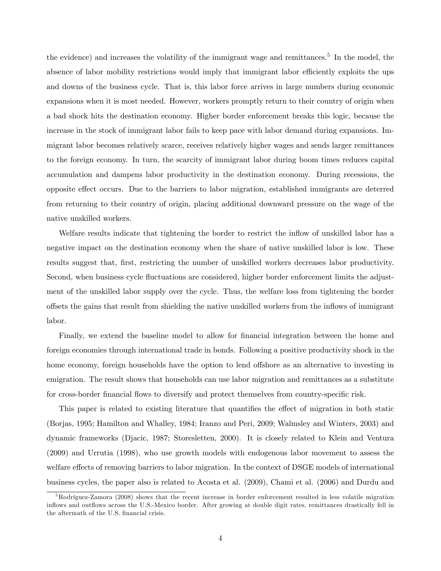the evidence) and increases the volatility of the immigrant wage and remittances.<sup>5</sup> In the model, the absence of labor mobility restrictions would imply that immigrant labor efficiently exploits the ups and downs of the business cycle. That is, this labor force arrives in large numbers during economic expansions when it is most needed. However, workers promptly return to their country of origin when a bad shock hits the destination economy. Higher border enforcement breaks this logic, because the increase in the stock of immigrant labor fails to keep pace with labor demand during expansions. Immigrant labor becomes relatively scarce, receives relatively higher wages and sends larger remittances to the foreign economy. In turn, the scarcity of immigrant labor during boom times reduces capital accumulation and dampens labor productivity in the destination economy. During recessions, the opposite e§ect occurs. Due to the barriers to labor migration, established immigrants are deterred from returning to their country of origin, placing additional downward pressure on the wage of the native unskilled workers.

Welfare results indicate that tightening the border to restrict the inflow of unskilled labor has a negative impact on the destination economy when the share of native unskilled labor is low. These results suggest that, first, restricting the number of unskilled workers decreases labor productivity. Second, when business cycle fluctuations are considered, higher border enforcement limits the adjustment of the unskilled labor supply over the cycle. Thus, the welfare loss from tightening the border o§sets the gains that result from shielding the native unskilled workers from the ináows of immigrant labor.

Finally, we extend the baseline model to allow for financial integration between the home and foreign economies through international trade in bonds. Following a positive productivity shock in the home economy, foreign households have the option to lend offshore as an alternative to investing in emigration. The result shows that households can use labor migration and remittances as a substitute for cross-border financial flows to diversify and protect themselves from country-specific risk.

This paper is related to existing literature that quantifies the effect of migration in both static (Borjas, 1995; Hamilton and Whalley, 1984; Iranzo and Peri, 2009; Walmsley and Winters, 2003) and dynamic frameworks (Djacic, 1987; Storesletten, 2000). It is closely related to Klein and Ventura (2009) and Urrutia (1998), who use growth models with endogenous labor movement to assess the welfare effects of removing barriers to labor migration. In the context of DSGE models of international business cycles, the paper also is related to Acosta et al. (2009), Chami et al. (2006) and Durdu and

<sup>&</sup>lt;sup>5</sup>Rodríguez-Zamora (2008) shows that the recent increase in border enforcement resulted in less volatile migration inflows and outflows across the U.S.-Mexico border. After growing at double digit rates, remittances drastically fell in the aftermath of the U.S. financial crisis.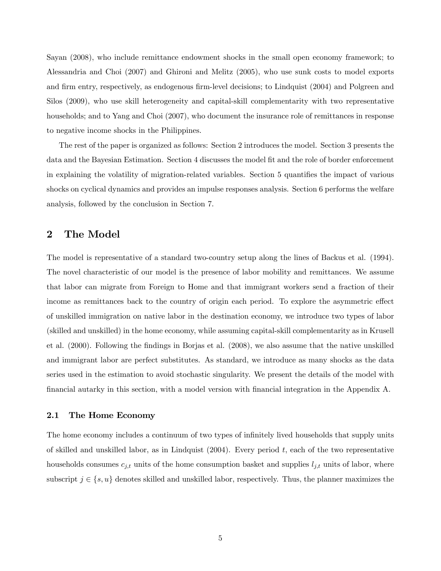Sayan (2008), who include remittance endowment shocks in the small open economy framework; to Alessandria and Choi (2007) and Ghironi and Melitz (2005), who use sunk costs to model exports and firm entry, respectively, as endogenous firm-level decisions; to Lindquist (2004) and Polgreen and Silos (2009), who use skill heterogeneity and capital-skill complementarity with two representative households; and to Yang and Choi (2007), who document the insurance role of remittances in response to negative income shocks in the Philippines.

The rest of the paper is organized as follows: Section 2 introduces the model. Section 3 presents the data and the Bayesian Estimation. Section 4 discusses the model fit and the role of border enforcement in explaining the volatility of migration-related variables. Section 5 quantifies the impact of various shocks on cyclical dynamics and provides an impulse responses analysis. Section 6 performs the welfare analysis, followed by the conclusion in Section 7.

## 2 The Model

The model is representative of a standard two-country setup along the lines of Backus et al. (1994). The novel characteristic of our model is the presence of labor mobility and remittances. We assume that labor can migrate from Foreign to Home and that immigrant workers send a fraction of their income as remittances back to the country of origin each period. To explore the asymmetric effect of unskilled immigration on native labor in the destination economy, we introduce two types of labor (skilled and unskilled) in the home economy, while assuming capital-skill complementarity as in Krusell et al. (2000). Following the Öndings in Borjas et al. (2008), we also assume that the native unskilled and immigrant labor are perfect substitutes. As standard, we introduce as many shocks as the data series used in the estimation to avoid stochastic singularity. We present the details of the model with Önancial autarky in this section, with a model version with Önancial integration in the Appendix A.

#### 2.1 The Home Economy

The home economy includes a continuum of two types of infinitely lived households that supply units of skilled and unskilled labor, as in Lindquist  $(2004)$ . Every period t, each of the two representative households consumes  $c_{j,t}$  units of the home consumption basket and supplies  $l_{j,t}$  units of labor, where subscript  $j \in \{s, u\}$  denotes skilled and unskilled labor, respectively. Thus, the planner maximizes the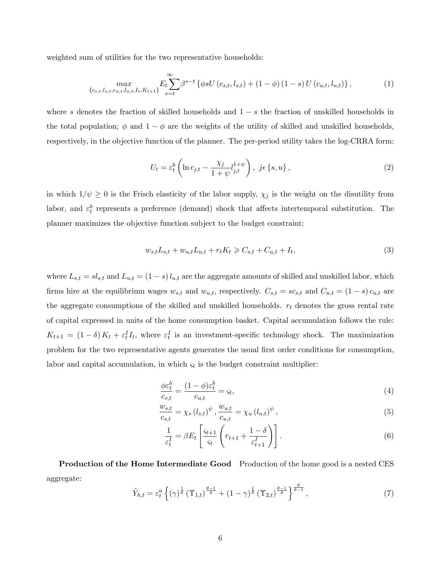weighted sum of utilities for the two representative households:

$$
\max_{\{c_{s,t}, l_{s,t}, c_{u,t}, l_{u,t}, I_t, K_{t+1}\}} E_t \sum_{s=t}^{\infty} \beta^{s-t} \left\{ \phi s U(c_{s,t}, l_{s,t}) + (1-\phi)(1-s) U(c_{u,t}, l_{u,t}) \right\},\tag{1}
$$

where s denotes the fraction of skilled households and  $1 - s$  the fraction of unskilled households in the total population;  $\phi$  and  $1 - \phi$  are the weights of the utility of skilled and unskilled households, respectively, in the objective function of the planner. The per-period utility takes the log-CRRA form:

$$
U_t = \varepsilon_t^b \left( \ln c_{j,t} - \frac{\chi_j}{1 + \psi} l_{j,t}^{1 + \psi} \right), \ j \in \{s, u\},\tag{2}
$$

in which  $1/\psi \geq 0$  is the Frisch elasticity of the labor supply,  $\chi_j$  is the weight on the disutility from labor, and  $\varepsilon_t^b$  represents a preference (demand) shock that affects intertemporal substitution. The planner maximizes the objective function subject to the budget constraint:

$$
w_{s,t}L_{s,t} + w_{u,t}L_{u,t} + r_tK_t \geq C_{s,t} + C_{u,t} + I_t,
$$
\n(3)

where  $L_{s,t} = sl_{s,t}$  and  $L_{u,t} = (1-s)l_{u,t}$  are the aggregate amounts of skilled and unskilled labor, which firms hire at the equilibrium wages  $w_{s,t}$  and  $w_{u,t}$ , respectively.  $C_{s,t} = sc_{s,t}$  and  $C_{u,t} = (1-s)c_{u,t}$  are the aggregate consumptions of the skilled and unskilled households.  $r_t$  denotes the gross rental rate of capital expressed in units of the home consumption basket. Capital accumulation follows the rule:  $K_{t+1} = (1 - \delta) K_t + \varepsilon_t^I I_t$ , where  $\varepsilon_t^I$  is an investment-specific technology shock. The maximization problem for the two representative agents generates the usual first order conditions for consumption, labor and capital accumulation, in which  $\varsigma_t$  is the budget constraint multiplier:

$$
\frac{\phi \varepsilon_t^b}{c_{s,t}} = \frac{(1-\phi)\varepsilon_t^b}{c_{u,t}} = \varsigma_t,\tag{4}
$$

$$
\frac{w_{s,t}}{c_{s,t}} = \chi_s \left( l_{s,t} \right)^{\psi}, \frac{w_{u,t}}{c_{u,t}} = \chi_u \left( l_{u,t} \right)^{\psi}, \tag{5}
$$

$$
\frac{1}{\varepsilon_t^I} = \beta E_t \left[ \frac{\varsigma_{t+1}}{\varsigma_t} \left( r_{t+1} + \frac{1-\delta}{\varepsilon_{t+1}^I} \right) \right]. \tag{6}
$$

Production of the Home Intermediate Good Production of the home good is a nested CES aggregate:

$$
\tilde{Y}_{h,t} = \varepsilon_t^a \left\{ (\gamma)^{\frac{1}{\theta}} \left( \Upsilon_{1,t} \right)^{\frac{\theta-1}{\theta}} + (1-\gamma)^{\frac{1}{\theta}} \left( \Upsilon_{2,t} \right)^{\frac{\theta-1}{\theta}} \right\}^{\frac{\theta}{\theta-1}},\tag{7}
$$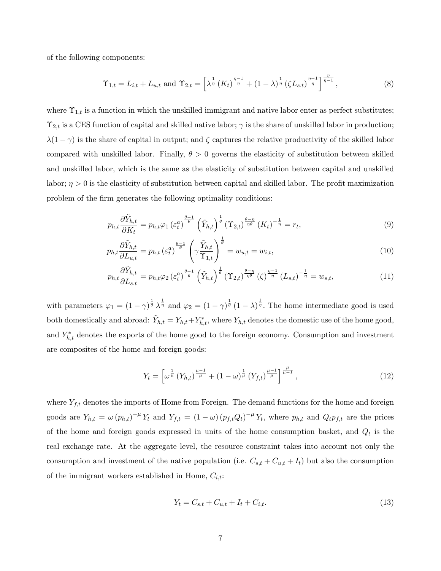of the following components:

$$
\Upsilon_{1,t} = L_{i,t} + L_{u,t} \text{ and } \Upsilon_{2,t} = \left[ \lambda^{\frac{1}{\eta}} \left( K_t \right)^{\frac{\eta - 1}{\eta}} + (1 - \lambda)^{\frac{1}{\eta}} \left( \zeta L_{s,t} \right)^{\frac{\eta - 1}{\eta}} \right]^{\frac{\eta}{\eta - 1}},\tag{8}
$$

where  $\Upsilon_{1,t}$  is a function in which the unskilled immigrant and native labor enter as perfect substitutes;  $\Upsilon_{2,t}$  is a CES function of capital and skilled native labor;  $\gamma$  is the share of unskilled labor in production;  $\lambda(1-\gamma)$  is the share of capital in output; and  $\zeta$  captures the relative productivity of the skilled labor compared with unskilled labor. Finally,  $\theta > 0$  governs the elasticity of substitution between skilled and unskilled labor, which is the same as the elasticity of substitution between capital and unskilled labor;  $\eta > 0$  is the elasticity of substitution between capital and skilled labor. The profit maximization problem of the firm generates the following optimality conditions:

$$
p_{h,t}\frac{\partial \tilde{Y}_{h,t}}{\partial K_t} = p_{h,t}\varphi_1 \left(\varepsilon_t^a\right)^{\frac{\theta-1}{\theta}} \left(\tilde{Y}_{h,t}\right)^{\frac{1}{\theta}} \left(\Upsilon_{2,t}\right)^{\frac{\theta-\eta}{\eta\theta}} \left(K_t\right)^{-\frac{1}{\eta}} = r_t,
$$
\n
$$
(9)
$$

$$
p_{h,t} \frac{\partial \tilde{Y}_{h,t}}{\partial L_{u,t}} = p_{h,t} \left(\varepsilon_t^a\right)^{\frac{\theta-1}{\theta}} \left(\gamma \frac{\tilde{Y}_{h,t}}{\Upsilon_{1,t}}\right)^{\frac{1}{\theta}} = w_{u,t} = w_{i,t},\tag{10}
$$

$$
p_{h,t}\frac{\partial \tilde{Y}_{h,t}}{\partial L_{s,t}} = p_{h,t}\varphi_2 \left(\varepsilon_t^a\right)^{\frac{\theta-1}{\theta}} \left(\tilde{Y}_{h,t}\right)^{\frac{1}{\theta}} \left(\Upsilon_{2,t}\right)^{\frac{\theta-\eta}{\eta\theta}} \left(\zeta\right)^{\frac{\eta-1}{\eta}} \left(L_{s,t}\right)^{-\frac{1}{\eta}} = w_{s,t},\tag{11}
$$

with parameters  $\varphi_1 = (1 - \gamma)^{\frac{1}{\theta}} \lambda^{\frac{1}{\eta}}$  and  $\varphi_2 = (1 - \gamma)^{\frac{1}{\theta}} (1 - \lambda)^{\frac{1}{\eta}}$ . The home intermediate good is used both domestically and abroad:  $\tilde{Y}_{h,t} = Y_{h,t} + Y_{h,t}^*$ , where  $Y_{h,t}$  denotes the domestic use of the home good, and  $Y_{h,t}^*$  denotes the exports of the home good to the foreign economy. Consumption and investment are composites of the home and foreign goods:

$$
Y_{t} = \left[\omega^{\frac{1}{\mu}}\left(Y_{h,t}\right)^{\frac{\mu-1}{\mu}} + (1-\omega)^{\frac{1}{\mu}}\left(Y_{f,t}\right)^{\frac{\mu-1}{\mu}}\right]^{\frac{\mu}{\mu-1}},\tag{12}
$$

where  $Y_{f,t}$  denotes the imports of Home from Foreign. The demand functions for the home and foreign goods are  $Y_{h,t} = \omega (p_{h,t})^{-\mu} Y_t$  and  $Y_{f,t} = (1 - \omega) (p_{f,t} Q_t)^{-\mu} Y_t$ , where  $p_{h,t}$  and  $Q_t p_{f,t}$  are the prices of the home and foreign goods expressed in units of the home consumption basket, and  $Q_t$  is the real exchange rate. At the aggregate level, the resource constraint takes into account not only the consumption and investment of the native population (i.e.  $C_{s,t} + C_{u,t} + I_t$ ) but also the consumption of the immigrant workers established in Home,  $C_{i,t}$ :

$$
Y_t = C_{s,t} + C_{u,t} + I_t + C_{i,t}.
$$
\n(13)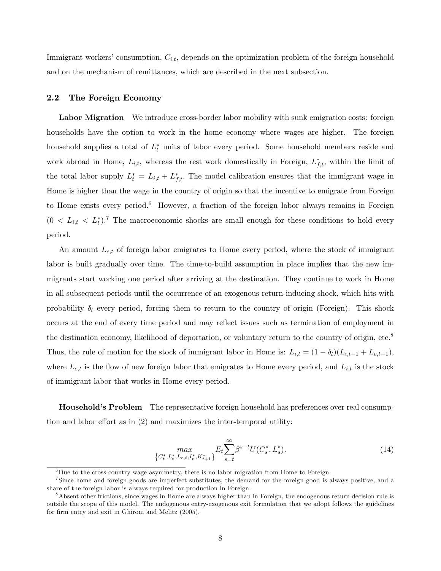Immigrant workers' consumption,  $C_{i,t}$ , depends on the optimization problem of the foreign household and on the mechanism of remittances, which are described in the next subsection.

#### 2.2 The Foreign Economy

Labor Migration We introduce cross-border labor mobility with sunk emigration costs: foreign households have the option to work in the home economy where wages are higher. The foreign household supplies a total of  $L_t^*$  units of labor every period. Some household members reside and work abroad in Home,  $L_{i,t}$ , whereas the rest work domestically in Foreign,  $L_{f,t}^*$ , within the limit of the total labor supply  $L_t^* = L_{i,t} + L_{f,t}^*$ . The model calibration ensures that the immigrant wage in Home is higher than the wage in the country of origin so that the incentive to emigrate from Foreign to Home exists every period.<sup>6</sup> However, a fraction of the foreign labor always remains in Foreign  $(0 < L_{i,t} < L_t^*)$ .<sup>7</sup> The macroeconomic shocks are small enough for these conditions to hold every period.

An amount  $L_{e,t}$  of foreign labor emigrates to Home every period, where the stock of immigrant labor is built gradually over time. The time-to-build assumption in place implies that the new immigrants start working one period after arriving at the destination. They continue to work in Home in all subsequent periods until the occurrence of an exogenous return-inducing shock, which hits with probability  $\delta_l$  every period, forcing them to return to the country of origin (Foreign). This shock occurs at the end of every time period and may reflect issues such as termination of employment in the destination economy, likelihood of deportation, or voluntary return to the country of origin, etc.<sup>8</sup> Thus, the rule of motion for the stock of immigrant labor in Home is:  $L_{i,t} = (1 - \delta_l)(L_{i,t-1} + L_{e,t-1}),$ where  $L_{e,t}$  is the flow of new foreign labor that emigrates to Home every period, and  $L_{i,t}$  is the stock of immigrant labor that works in Home every period.

**Household's Problem** The representative foreign household has preferences over real consumption and labor effort as in  $(2)$  and maximizes the inter-temporal utility:

$$
\max_{\{C_t^*, L_t^*, L_{e,t}, I_t^*, K_{t+1}^*\}} E_t \sum_{s=t}^{\infty} \beta^{s-t} U(C_s^*, L_s^*). \tag{14}
$$

 ${}^{6}$ Due to the cross-country wage asymmetry, there is no labor migration from Home to Foreign.

<sup>&</sup>lt;sup>7</sup>Since home and foreign goods are imperfect substitutes, the demand for the foreign good is always positive, and a share of the foreign labor is always required for production in Foreign.

<sup>&</sup>lt;sup>8</sup>Absent other frictions, since wages in Home are always higher than in Foreign, the endogenous return decision rule is outside the scope of this model. The endogenous entry-exogenous exit formulation that we adopt follows the guidelines for firm entry and exit in Ghironi and Melitz (2005).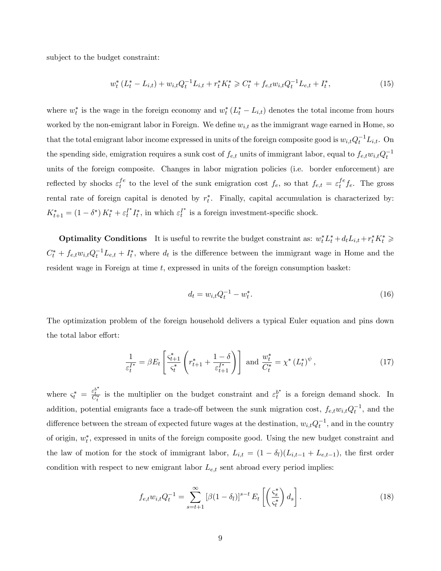subject to the budget constraint:

$$
w_t^* (L_t^* - L_{i,t}) + w_{i,t} Q_t^{-1} L_{i,t} + r_t^* K_t^* \ge C_t^* + f_{e,t} w_{i,t} Q_t^{-1} L_{e,t} + I_t^*,
$$
\n(15)

where  $w_t^*$  is the wage in the foreign economy and  $w_t^*(L_t^* - L_{i,t})$  denotes the total income from hours worked by the non-emigrant labor in Foreign. We define  $w_{i,t}$  as the immigrant wage earned in Home, so that the total emigrant labor income expressed in units of the foreign composite good is  $w_{i,t}Q_t^{-1}L_{i,t}$ . On the spending side, emigration requires a sunk cost of  $f_{e,t}$  units of immigrant labor, equal to  $f_{e,t}w_{i,t}Q_t^{-1}$ units of the foreign composite. Changes in labor migration policies (i.e. border enforcement) are reflected by shocks  $\varepsilon_t^{fe}$  $t_t^{fe}$  to the level of the sunk emigration cost  $f_e$ , so that  $f_{e,t} = \varepsilon_t^{fe}$  $t^{te}f_e$ . The gross rental rate of foreign capital is denoted by  $r_t^*$ . Finally, capital accumulation is characterized by:  $K_{t+1}^* = (1 - \delta^*) K_t^* + \varepsilon_t^{I^*} I_t^*$ , in which  $\varepsilon_t^{I^*}$  is a foreign investment-specific shock.

**Optimality Conditions** It is useful to rewrite the budget constraint as:  $w_t^* L_t^* + d_t L_{i,t} + r_t^* K_t^* \geq 0$  $C_t^* + f_{e,t}w_{i,t}Q_t^{-1}L_{e,t} + I_t^*$ , where  $d_t$  is the difference between the immigrant wage in Home and the resident wage in Foreign at time  $t$ , expressed in units of the foreign consumption basket:

$$
d_t = w_{i,t} Q_t^{-1} - w_t^*.
$$
\n(16)

The optimization problem of the foreign household delivers a typical Euler equation and pins down the total labor effort:

$$
\frac{1}{\varepsilon_t^{I^*}} = \beta E_t \left[ \frac{\varsigma_{t+1}^*}{\varsigma_t^*} \left( r_{t+1}^* + \frac{1-\delta}{\varepsilon_{t+1}^{I^*}} \right) \right] \text{ and } \frac{w_t^*}{C_t^*} = \chi^* \left( L_t^* \right)^\psi, \tag{17}
$$

where  $\zeta_t^* = \frac{\varepsilon_t^{b^*}}{C_t^*}$  is the multiplier on the budget constraint and  $\varepsilon_t^{b^*}$  is a foreign demand shock. In addition, potential emigrants face a trade-off between the sunk migration cost,  $f_{e,t}w_{i,t}Q_t^{-1}$ , and the difference between the stream of expected future wages at the destination,  $w_{i,t}Q_t^{-1}$ , and in the country of origin,  $w_t^*$ , expressed in units of the foreign composite good. Using the new budget constraint and the law of motion for the stock of immigrant labor,  $L_{i,t} = (1 - \delta_l)(L_{i,t-1} + L_{e,t-1})$ , the first order condition with respect to new emigrant labor  $L_{e,t}$  sent abroad every period implies:

$$
f_{e,t}w_{i,t}Q_t^{-1} = \sum_{s=t+1}^{\infty} [\beta(1-\delta_l)]^{s-t} E_t\left[\left(\frac{\zeta_s^*}{\zeta_t^*}\right) d_s\right].
$$
 (18)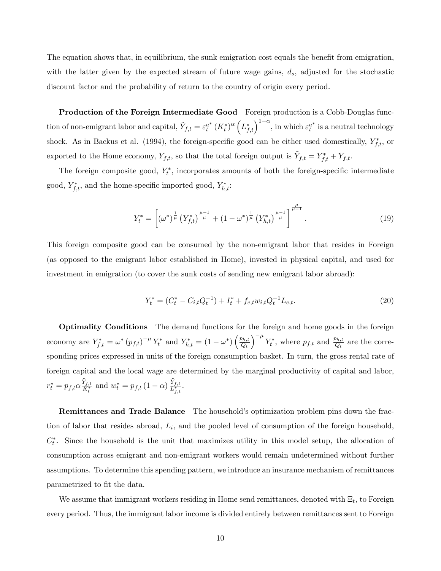The equation shows that, in equilibrium, the sunk emigration cost equals the benefit from emigration, with the latter given by the expected stream of future wage gains,  $d_s$ , adjusted for the stochastic discount factor and the probability of return to the country of origin every period.

**Production of the Foreign Intermediate Good** Foreign production is a Cobb-Douglas function of non-emigrant labor and capital,  $\tilde{Y}_{f,t} = \varepsilon_t^{a^*} (K_t^*)^{\alpha} \left( L_{f,t}^* \right)^{1-\alpha}$ , in which  $\varepsilon_t^{a^*}$  is a neutral technology shock. As in Backus et al. (1994), the foreign-specific good can be either used domestically,  $Y_{f,t}^*$ , or exported to the Home economy,  $Y_{f,t}$ , so that the total foreign output is  $\tilde{Y}_{f,t} = Y_{f,t}^* + Y_{f,t}$ .

The foreign composite good,  $Y_t^*$ , incorporates amounts of both the foreign-specific intermediate good,  $Y_{f,t}^*$ , and the home-specific imported good,  $Y_{h,t}^*$ :

$$
Y_t^* = \left[ \left( \omega^* \right)^{\frac{1}{\mu}} \left( Y_{f,t}^* \right)^{\frac{\mu - 1}{\mu}} + \left( 1 - \omega^* \right)^{\frac{1}{\mu}} \left( Y_{h,t}^* \right)^{\frac{\mu - 1}{\mu}} \right]^{\frac{\mu}{\mu - 1}}.
$$
\n(19)

This foreign composite good can be consumed by the non-emigrant labor that resides in Foreign (as opposed to the emigrant labor established in Home), invested in physical capital, and used for investment in emigration (to cover the sunk costs of sending new emigrant labor abroad):

$$
Y_t^* = (C_t^* - C_{i,t}Q_t^{-1}) + I_t^* + f_{e,t}w_{i,t}Q_t^{-1}L_{e,t}.
$$
\n(20)

**Optimality Conditions** The demand functions for the foreign and home goods in the foreign economy are  $Y_{f,t}^* = \omega^* (p_{f,t})^{-\mu} Y_t^*$  and  $Y_{h,t}^* = (1 - \omega^*) \left( \frac{p_{h,t}}{Q_t} \right)$  $Q_t$  $\int_{0}^{-\mu} Y_t^*$ , where  $p_{f,t}$  and  $\frac{p_{h,t}}{Q_t}$  are the corresponding prices expressed in units of the foreign consumption basket. In turn, the gross rental rate of foreign capital and the local wage are determined by the marginal productivity of capital and labor,  $r_t^* = p_{f,t} \alpha \frac{\tilde{Y}_{f,t}}{K_t^*}$  and  $w_t^* = p_{f,t} (1 - \alpha) \frac{\tilde{Y}_{f,t}}{L_{f,t}^*}.$ 

**Remittances and Trade Balance** The household's optimization problem pins down the fraction of labor that resides abroad,  $L_i$ , and the pooled level of consumption of the foreign household,  $C_t^*$ . Since the household is the unit that maximizes utility in this model setup, the allocation of consumption across emigrant and non-emigrant workers would remain undetermined without further assumptions. To determine this spending pattern, we introduce an insurance mechanism of remittances parametrized to fit the data.

We assume that immigrant workers residing in Home send remittances, denoted with  $\Xi_t$ , to Foreign every period. Thus, the immigrant labor income is divided entirely between remittances sent to Foreign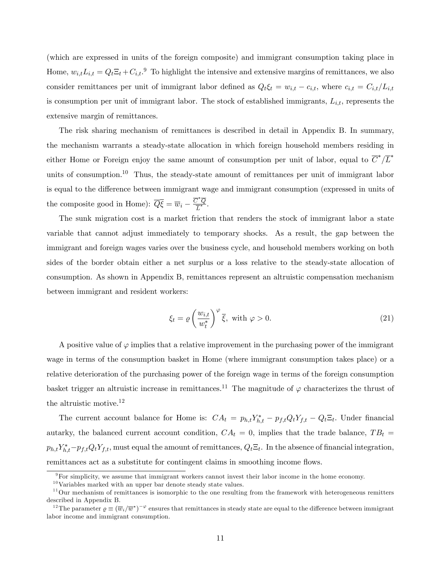(which are expressed in units of the foreign composite) and immigrant consumption taking place in Home,  $w_{i,t}L_{i,t} = Q_t \Xi_t + C_{i,t}$ . To highlight the intensive and extensive margins of remittances, we also consider remittances per unit of immigrant labor defined as  $Q_t \xi_t = w_{i,t} - c_{i,t}$ , where  $c_{i,t} = C_{i,t}/L_{i,t}$ is consumption per unit of immigrant labor. The stock of established immigrants,  $L_{i,t}$ , represents the extensive margin of remittances.

The risk sharing mechanism of remittances is described in detail in Appendix B. In summary, the mechanism warrants a steady-state allocation in which foreign household members residing in either Home or Foreign enjoy the same amount of consumption per unit of labor, equal to  $\overline{C}^*/\overline{L}^*$ units of consumption.<sup>10</sup> Thus, the steady-state amount of remittances per unit of immigrant labor is equal to the difference between immigrant wage and immigrant consumption (expressed in units of the composite good in Home):  $\overline{Q\xi} = \overline{w}_i - \frac{\overline{C}^*\overline{Q}}{\overline{L}^*}$  $\frac{Q}{L^*}$ .

The sunk migration cost is a market friction that renders the stock of immigrant labor a state variable that cannot adjust immediately to temporary shocks. As a result, the gap between the immigrant and foreign wages varies over the business cycle, and household members working on both sides of the border obtain either a net surplus or a loss relative to the steady-state allocation of consumption. As shown in Appendix B, remittances represent an altruistic compensation mechanism between immigrant and resident workers:

$$
\xi_t = \varrho \left(\frac{w_{i,t}}{w_t^*}\right)^{\varphi} \overline{\xi}, \text{ with } \varphi > 0. \tag{21}
$$

A positive value of  $\varphi$  implies that a relative improvement in the purchasing power of the immigrant wage in terms of the consumption basket in Home (where immigrant consumption takes place) or a relative deterioration of the purchasing power of the foreign wage in terms of the foreign consumption basket trigger an altruistic increase in remittances.<sup>11</sup> The magnitude of  $\varphi$  characterizes the thrust of the altruistic motive.<sup>12</sup>

The current account balance for Home is:  $CA_t = p_{h,t} Y_{h,t}^* - p_{f,t} Q_t Y_{f,t} - Q_t \Xi_t$ . Under financial autarky, the balanced current account condition,  $CA_t = 0$ , implies that the trade balance,  $TB_t =$  $p_{h,t}Y_{h,t}^*$  -  $p_{f,t}Q_tY_{f,t}$ , must equal the amount of remittances,  $Q_t\Xi_t$ . In the absence of financial integration, remittances act as a substitute for contingent claims in smoothing income flows.

 $9F<sup>9</sup>$  For simplicity, we assume that immigrant workers cannot invest their labor income in the home economy.

 $^{10}\rm{Variables}$  marked with an upper bar denote steady state values.

 $11$ Our mechanism of remittances is isomorphic to the one resulting from the framework with heterogeneous remitters described in Appendix B.

<sup>&</sup>lt;sup>12</sup>The parameter  $\rho \equiv (\overline{w}_i/\overline{w}^*)^{-\varphi}$  ensures that remittances in steady state are equal to the difference between immigrant labor income and immigrant consumption.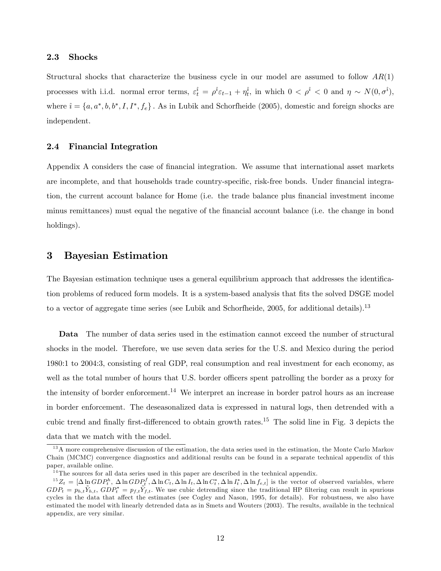#### 2.3 Shocks

Structural shocks that characterize the business cycle in our model are assumed to follow  $AR(1)$ processes with i.i.d. normal error terms,  $\varepsilon_t^{\hat{i}} = \rho^{\hat{i}} \varepsilon_{t-1} + \eta_t^{\hat{i}}$ , in which  $0 < \rho^{\hat{i}} < 0$  and  $\eta \sim N(0, \sigma^{\hat{i}})$ , where  $\hat{i} = \{a, a^*, b, b^*, I, I^*, f_e\}$ . As in Lubik and Schorfheide (2005), domestic and foreign shocks are independent.

#### 2.4 Financial Integration

Appendix A considers the case of financial integration. We assume that international asset markets are incomplete, and that households trade country-specific, risk-free bonds. Under financial integration, the current account balance for Home (i.e. the trade balance plus financial investment income minus remittances) must equal the negative of the financial account balance (i.e. the change in bond holdings).

#### 3 Bayesian Estimation

The Bayesian estimation technique uses a general equilibrium approach that addresses the identification problems of reduced form models. It is a system-based analysis that fits the solved DSGE model to a vector of aggregate time series (see Lubik and Schorfheide, 2005, for additional details).<sup>13</sup>

Data The number of data series used in the estimation cannot exceed the number of structural shocks in the model. Therefore, we use seven data series for the U.S. and Mexico during the period 1980:1 to 2004:3, consisting of real GDP, real consumption and real investment for each economy, as well as the total number of hours that U.S. border officers spent patrolling the border as a proxy for the intensity of border enforcement.<sup>14</sup> We interpret an increase in border patrol hours as an increase in border enforcement. The deseasonalized data is expressed in natural logs, then detrended with a cubic trend and finally first-differenced to obtain growth rates.<sup>15</sup> The solid line in Fig. 3 depicts the data that we match with the model.

<sup>&</sup>lt;sup>13</sup>A more comprehensive discussion of the estimation, the data series used in the estimation, the Monte Carlo Markov Chain (MCMC) convergence diagnostics and additional results can be found in a separate technical appendix of this paper, available online.

 $<sup>14</sup>$ The sources for all data series used in this paper are described in the technical appendix.</sup>

 $^{15}Z_t = [\Delta \ln GDP_t^h, \Delta \ln GDP_t^f, \Delta \ln C_t, \Delta \ln I_t, \Delta \ln C_t^*, \Delta \ln I_t, \Delta \ln f_{e,t}]$  is the vector of observed variables, where  $GDP_t = p_{h,t}\tilde{Y}_{h,t},\ GDP_t^* = p_{f,t}\tilde{Y}_{f,t}.$  We use cubic detrending since the traditional HP filtering can result in spurious cycles in the data that affect the estimates (see Cogley and Nason, 1995, for details). For robustness, we also have estimated the model with linearly detrended data as in Smets and Wouters (2003). The results, available in the technical appendix, are very similar.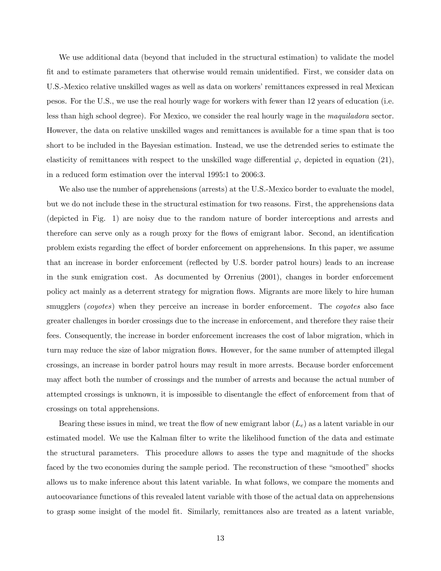We use additional data (beyond that included in the structural estimation) to validate the model fit and to estimate parameters that otherwise would remain unidentified. First, we consider data on U.S.-Mexico relative unskilled wages as well as data on workers' remittances expressed in real Mexican pesos. For the U.S., we use the real hourly wage for workers with fewer than 12 years of education (i.e. less than high school degree). For Mexico, we consider the real hourly wage in the maquiladora sector. However, the data on relative unskilled wages and remittances is available for a time span that is too short to be included in the Bayesian estimation. Instead, we use the detrended series to estimate the elasticity of remittances with respect to the unskilled wage differential  $\varphi$ , depicted in equation (21), in a reduced form estimation over the interval 1995:1 to 2006:3.

We also use the number of apprehensions (arrests) at the U.S.-Mexico border to evaluate the model, but we do not include these in the structural estimation for two reasons. First, the apprehensions data (depicted in Fig. 1) are noisy due to the random nature of border interceptions and arrests and therefore can serve only as a rough proxy for the flows of emigrant labor. Second, an identification problem exists regarding the effect of border enforcement on apprehensions. In this paper, we assume that an increase in border enforcement (reáected by U.S. border patrol hours) leads to an increase in the sunk emigration cost. As documented by Orrenius (2001), changes in border enforcement policy act mainly as a deterrent strategy for migration áows. Migrants are more likely to hire human smugglers (coyotes) when they perceive an increase in border enforcement. The coyotes also face greater challenges in border crossings due to the increase in enforcement, and therefore they raise their fees. Consequently, the increase in border enforcement increases the cost of labor migration, which in turn may reduce the size of labor migration flows. However, for the same number of attempted illegal crossings, an increase in border patrol hours may result in more arrests. Because border enforcement may affect both the number of crossings and the number of arrests and because the actual number of attempted crossings is unknown, it is impossible to disentangle the effect of enforcement from that of crossings on total apprehensions.

Bearing these issues in mind, we treat the flow of new emigrant labor  $(L_e)$  as a latent variable in our estimated model. We use the Kalman filter to write the likelihood function of the data and estimate the structural parameters. This procedure allows to asses the type and magnitude of the shocks faced by the two economies during the sample period. The reconstruction of these "smoothed" shocks allows us to make inference about this latent variable. In what follows, we compare the moments and autocovariance functions of this revealed latent variable with those of the actual data on apprehensions to grasp some insight of the model Öt. Similarly, remittances also are treated as a latent variable,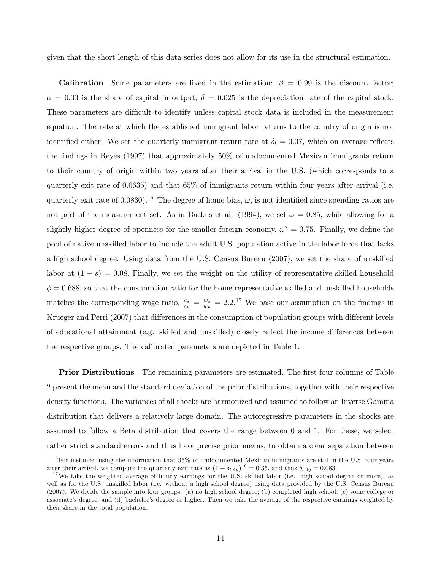given that the short length of this data series does not allow for its use in the structural estimation.

**Calibration** Some parameters are fixed in the estimation:  $\beta = 0.99$  is the discount factor;  $\alpha = 0.33$  is the share of capital in output;  $\delta = 0.025$  is the depreciation rate of the capital stock. These parameters are difficult to identify unless capital stock data is included in the measurement equation. The rate at which the established immigrant labor returns to the country of origin is not identified either. We set the quarterly immigrant return rate at  $\delta_l = 0.07$ , which on average reflects the findings in Reyes (1997) that approximately 50% of undocumented Mexican immigrants return to their country of origin within two years after their arrival in the U.S. (which corresponds to a quarterly exit rate of 0.0635) and that 65% of immigrants return within four years after arrival (i.e. quarterly exit rate of 0.0830).<sup>16</sup> The degree of home bias,  $\omega$ , is not identified since spending ratios are not part of the measurement set. As in Backus et al. (1994), we set  $\omega = 0.85$ , while allowing for a slightly higher degree of openness for the smaller foreign economy,  $\omega^* = 0.75$ . Finally, we define the pool of native unskilled labor to include the adult U.S. population active in the labor force that lacks a high school degree. Using data from the U.S. Census Bureau (2007), we set the share of unskilled labor at  $(1-s) = 0.08$ . Finally, we set the weight on the utility of representative skilled household  $\phi = 0.688$ , so that the consumption ratio for the home representative skilled and unskilled households matches the corresponding wage ratio,  $\frac{c_s}{c_u} = \frac{w_s}{w_u}$  $\frac{w_s}{w_u} = 2.2^{17}$  We base our assumption on the findings in Krueger and Perri (2007) that differences in the consumption of population groups with different levels of educational attainment (e.g. skilled and unskilled) closely reflect the income differences between the respective groups. The calibrated parameters are depicted in Table 1.

**Prior Distributions** The remaining parameters are estimated. The first four columns of Table 2 present the mean and the standard deviation of the prior distributions, together with their respective density functions. The variances of all shocks are harmonized and assumed to follow an Inverse Gamma distribution that delivers a relatively large domain. The autoregressive parameters in the shocks are assumed to follow a Beta distribution that covers the range between 0 and 1. For these, we select rather strict standard errors and thus have precise prior means, to obtain a clear separation between

 $16$  For instance, using the information that 35% of undocumented Mexican immigrants are still in the U.S. four years after their arrival, we compute the quarterly exit rate as  $(1 - \delta_{l,4y})^{16} = 0.35$ , and thus  $\delta_{l,4y} = 0.083$ .

 $17$ We take the weighted average of hourly earnings for the U.S. skilled labor (i.e. high school degree or more), as well as for the U.S. unskilled labor (i.e. without a high school degree) using data provided by the U.S. Census Bureau (2007). We divide the sample into four groups: (a) no high school degree; (b) completed high school; (c) some college or associate's degree; and (d) bachelor's degree or higher. Then we take the average of the respective earnings weighted by their share in the total population.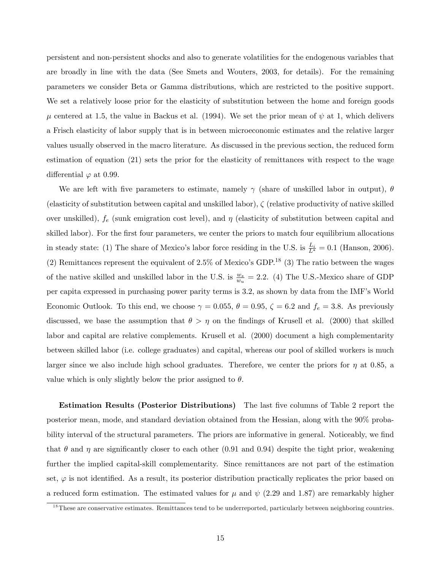persistent and non-persistent shocks and also to generate volatilities for the endogenous variables that are broadly in line with the data (See Smets and Wouters, 2003, for details). For the remaining parameters we consider Beta or Gamma distributions, which are restricted to the positive support. We set a relatively loose prior for the elasticity of substitution between the home and foreign goods  $\mu$  centered at 1.5, the value in Backus et al. (1994). We set the prior mean of  $\psi$  at 1, which delivers a Frisch elasticity of labor supply that is in between microeconomic estimates and the relative larger values usually observed in the macro literature. As discussed in the previous section, the reduced form estimation of equation (21) sets the prior for the elasticity of remittances with respect to the wage differential  $\varphi$  at 0.99.

We are left with five parameters to estimate, namely  $\gamma$  (share of unskilled labor in output),  $\theta$ (elasticity of substitution between capital and unskilled labor),  $\zeta$  (relative productivity of native skilled over unskilled),  $f_e$  (sunk emigration cost level), and  $\eta$  (elasticity of substitution between capital and skilled labor). For the first four parameters, we center the priors to match four equilibrium allocations in steady state: (1) The share of Mexico's labor force residing in the U.S. is  $\frac{L_i}{L^*} = 0.1$  (Hanson, 2006). (2) Remittances represent the equivalent of 2.5% of Mexico's GDP.<sup>18</sup> (3) The ratio between the wages of the native skilled and unskilled labor in the U.S. is  $\frac{w_s}{w_u} = 2.2$ . (4) The U.S.-Mexico share of GDP per capita expressed in purchasing power parity terms is 3.2, as shown by data from the IMF's World Economic Outlook. To this end, we choose  $\gamma = 0.055$ ,  $\theta = 0.95$ ,  $\zeta = 6.2$  and  $f_e = 3.8$ . As previously discussed, we base the assumption that  $\theta > \eta$  on the findings of Krusell et al. (2000) that skilled labor and capital are relative complements. Krusell et al. (2000) document a high complementarity between skilled labor (i.e. college graduates) and capital, whereas our pool of skilled workers is much larger since we also include high school graduates. Therefore, we center the priors for  $\eta$  at 0.85, a value which is only slightly below the prior assigned to  $\theta$ .

Estimation Results (Posterior Distributions) The last Öve columns of Table 2 report the posterior mean, mode, and standard deviation obtained from the Hessian, along with the 90% probability interval of the structural parameters. The priors are informative in general. Noticeably, we find that  $\theta$  and  $\eta$  are significantly closer to each other (0.91 and 0.94) despite the tight prior, weakening further the implied capital-skill complementarity. Since remittances are not part of the estimation set,  $\varphi$  is not identified. As a result, its posterior distribution practically replicates the prior based on a reduced form estimation. The estimated values for  $\mu$  and  $\psi$  (2.29 and 1.87) are remarkably higher

<sup>&</sup>lt;sup>18</sup>These are conservative estimates. Remittances tend to be underreported, particularly between neighboring countries.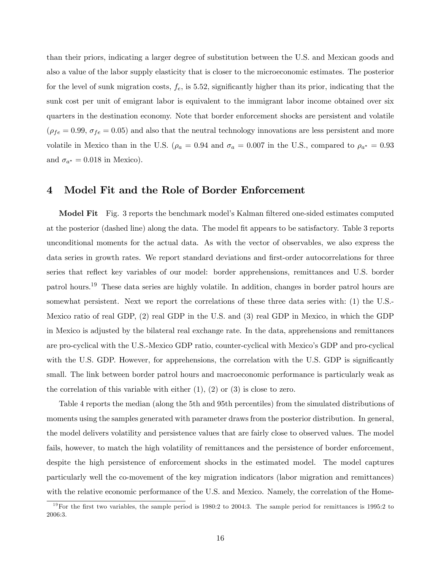than their priors, indicating a larger degree of substitution between the U.S. and Mexican goods and also a value of the labor supply elasticity that is closer to the microeconomic estimates. The posterior for the level of sunk migration costs,  $f_e$ , is 5.52, significantly higher than its prior, indicating that the sunk cost per unit of emigrant labor is equivalent to the immigrant labor income obtained over six quarters in the destination economy. Note that border enforcement shocks are persistent and volatile  $(\rho_{fe} = 0.99, \sigma_{fe} = 0.05)$  and also that the neutral technology innovations are less persistent and more volatile in Mexico than in the U.S. ( $\rho_a = 0.94$  and  $\sigma_a = 0.007$  in the U.S., compared to  $\rho_{a^*} = 0.93$ and  $\sigma_{a^*} = 0.018$  in Mexico).

#### 4 Model Fit and the Role of Border Enforcement

Model Fit Fig. 3 reports the benchmark model's Kalman filtered one-sided estimates computed at the posterior (dashed line) along the data. The model Öt appears to be satisfactory. Table 3 reports unconditional moments for the actual data. As with the vector of observables, we also express the data series in growth rates. We report standard deviations and first-order autocorrelations for three series that reflect key variables of our model: border apprehensions, remittances and U.S. border patrol hours.<sup>19</sup> These data series are highly volatile. In addition, changes in border patrol hours are somewhat persistent. Next we report the correlations of these three data series with: (1) the U.S.- Mexico ratio of real GDP, (2) real GDP in the U.S. and (3) real GDP in Mexico, in which the GDP in Mexico is adjusted by the bilateral real exchange rate. In the data, apprehensions and remittances are pro-cyclical with the U.S.-Mexico GDP ratio, counter-cyclical with Mexicoís GDP and pro-cyclical with the U.S. GDP. However, for apprehensions, the correlation with the U.S. GDP is significantly small. The link between border patrol hours and macroeconomic performance is particularly weak as the correlation of this variable with either  $(1)$ ,  $(2)$  or  $(3)$  is close to zero.

Table 4 reports the median (along the 5th and 95th percentiles) from the simulated distributions of moments using the samples generated with parameter draws from the posterior distribution. In general, the model delivers volatility and persistence values that are fairly close to observed values. The model fails, however, to match the high volatility of remittances and the persistence of border enforcement, despite the high persistence of enforcement shocks in the estimated model. The model captures particularly well the co-movement of the key migration indicators (labor migration and remittances) with the relative economic performance of the U.S. and Mexico. Namely, the correlation of the Home-

 $19$ For the first two variables, the sample period is 1980:2 to 2004:3. The sample period for remittances is 1995:2 to 2006:3.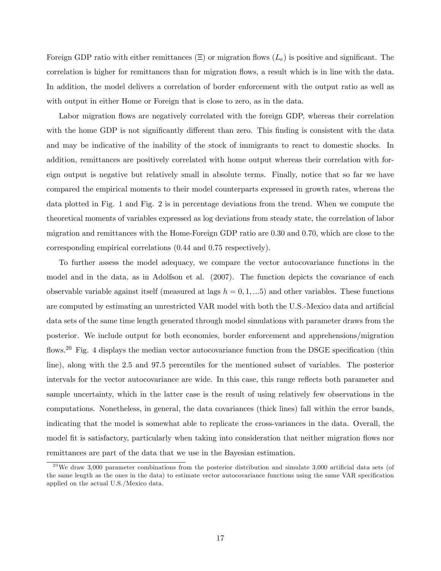Foreign GDP ratio with either remittances ( $\Xi$ ) or migration flows ( $L_e$ ) is positive and significant. The correlation is higher for remittances than for migration áows, a result which is in line with the data. In addition, the model delivers a correlation of border enforcement with the output ratio as well as with output in either Home or Foreign that is close to zero, as in the data.

Labor migration flows are negatively correlated with the foreign GDP, whereas their correlation with the home GDP is not significantly different than zero. This finding is consistent with the data and may be indicative of the inability of the stock of immigrants to react to domestic shocks. In addition, remittances are positively correlated with home output whereas their correlation with foreign output is negative but relatively small in absolute terms. Finally, notice that so far we have compared the empirical moments to their model counterparts expressed in growth rates, whereas the data plotted in Fig. 1 and Fig. 2 is in percentage deviations from the trend. When we compute the theoretical moments of variables expressed as log deviations from steady state, the correlation of labor migration and remittances with the Home-Foreign GDP ratio are 0.30 and 0.70, which are close to the corresponding empirical correlations (0.44 and 0.75 respectively).

To further assess the model adequacy, we compare the vector autocovariance functions in the model and in the data, as in Adolfson et al. (2007). The function depicts the covariance of each observable variable against itself (measured at lags  $h = 0, 1, ...5$ ) and other variables. These functions are computed by estimating an unrestricted VAR model with both the U.S.-Mexico data and artificial data sets of the same time length generated through model simulations with parameter draws from the posterior. We include output for both economies, border enforcement and apprehensions/migration flows.<sup>20</sup> Fig. 4 displays the median vector autocovariance function from the DSGE specification (thin line), along with the 2.5 and 97.5 percentiles for the mentioned subset of variables. The posterior intervals for the vector autocovariance are wide. In this case, this range reflects both parameter and sample uncertainty, which in the latter case is the result of using relatively few observations in the computations. Nonetheless, in general, the data covariances (thick lines) fall within the error bands, indicating that the model is somewhat able to replicate the cross-variances in the data. Overall, the model fit is satisfactory, particularly when taking into consideration that neither migration flows nor remittances are part of the data that we use in the Bayesian estimation.

 $^{20}$ We draw 3,000 parameter combinations from the posterior distribution and simulate 3,000 artificial data sets (of the same length as the ones in the data) to estimate vector autocovariance functions using the same VAR specification applied on the actual U.S./Mexico data.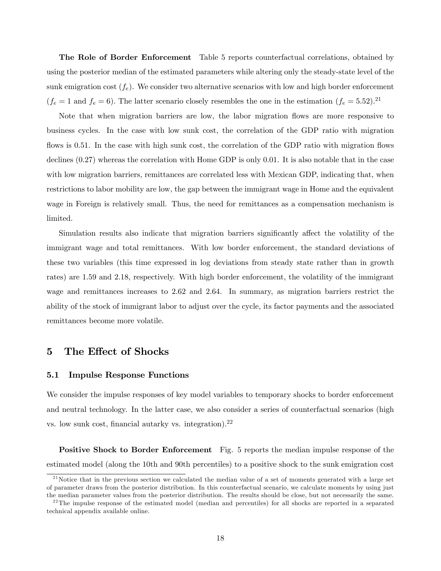The Role of Border Enforcement Table 5 reports counterfactual correlations, obtained by using the posterior median of the estimated parameters while altering only the steady-state level of the sunk emigration cost  $(f_e)$ . We consider two alternative scenarios with low and high border enforcement  $(f_e = 1 \text{ and } f_e = 6)$ . The latter scenario closely resembles the one in the estimation  $(f_e = 5.52).^{21}$ 

Note that when migration barriers are low, the labor migration flows are more responsive to business cycles. In the case with low sunk cost, the correlation of the GDP ratio with migration flows is 0.51. In the case with high sunk cost, the correlation of the GDP ratio with migration flows declines (0.27) whereas the correlation with Home GDP is only 0.01. It is also notable that in the case with low migration barriers, remittances are correlated less with Mexican GDP, indicating that, when restrictions to labor mobility are low, the gap between the immigrant wage in Home and the equivalent wage in Foreign is relatively small. Thus, the need for remittances as a compensation mechanism is limited.

Simulation results also indicate that migration barriers significantly affect the volatility of the immigrant wage and total remittances. With low border enforcement, the standard deviations of these two variables (this time expressed in log deviations from steady state rather than in growth rates) are 1.59 and 2.18, respectively. With high border enforcement, the volatility of the immigrant wage and remittances increases to 2.62 and 2.64. In summary, as migration barriers restrict the ability of the stock of immigrant labor to adjust over the cycle, its factor payments and the associated remittances become more volatile.

#### 5 The Effect of Shocks

#### 5.1 Impulse Response Functions

We consider the impulse responses of key model variables to temporary shocks to border enforcement and neutral technology. In the latter case, we also consider a series of counterfactual scenarios (high vs. low sunk cost, financial autarky vs. integration).<sup>22</sup>

**Positive Shock to Border Enforcement** Fig. 5 reports the median impulse response of the estimated model (along the 10th and 90th percentiles) to a positive shock to the sunk emigration cost

 $21$ Notice that in the previous section we calculated the median value of a set of moments generated with a large set of parameter draws from the posterior distribution. In this counterfactual scenario, we calculate moments by using just the median parameter values from the posterior distribution. The results should be close, but not necessarily the same.

 $22$ The impulse response of the estimated model (median and percentiles) for all shocks are reported in a separated technical appendix available online.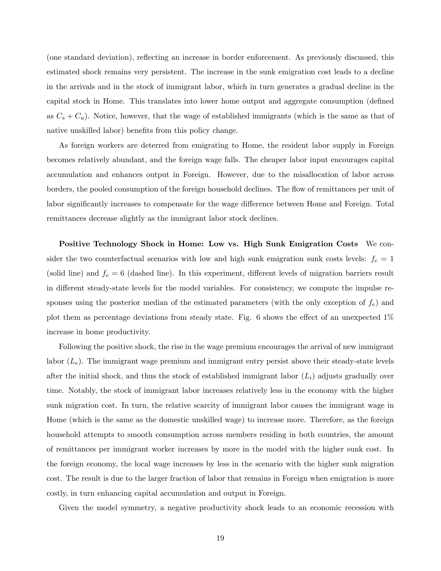(one standard deviation), reflecting an increase in border enforcement. As previously discussed, this estimated shock remains very persistent. The increase in the sunk emigration cost leads to a decline in the arrivals and in the stock of immigrant labor, which in turn generates a gradual decline in the capital stock in Home. This translates into lower home output and aggregate consumption (defined as  $C_s + C_u$ ). Notice, however, that the wage of established immigrants (which is the same as that of native unskilled labor) benefits from this policy change.

As foreign workers are deterred from emigrating to Home, the resident labor supply in Foreign becomes relatively abundant, and the foreign wage falls. The cheaper labor input encourages capital accumulation and enhances output in Foreign. However, due to the misallocation of labor across borders, the pooled consumption of the foreign household declines. The flow of remittances per unit of labor significantly increases to compensate for the wage difference between Home and Foreign. Total remittances decrease slightly as the immigrant labor stock declines.

Positive Technology Shock in Home: Low vs. High Sunk Emigration Costs We consider the two counterfactual scenarios with low and high sunk emigration sunk costs levels:  $f_e = 1$ (solid line) and  $f_e = 6$  (dashed line). In this experiment, different levels of migration barriers result in different steady-state levels for the model variables. For consistency, we compute the impulse responses using the posterior median of the estimated parameters (with the only exception of  $f_e$ ) and plot them as percentage deviations from steady state. Fig. 6 shows the effect of an unexpected  $1\%$ increase in home productivity.

Following the positive shock, the rise in the wage premium encourages the arrival of new immigrant labor  $(L_e)$ . The immigrant wage premium and immigrant entry persist above their steady-state levels after the initial shock, and thus the stock of established immigrant labor  $(L<sub>i</sub>)$  adjusts gradually over time. Notably, the stock of immigrant labor increases relatively less in the economy with the higher sunk migration cost. In turn, the relative scarcity of immigrant labor causes the immigrant wage in Home (which is the same as the domestic unskilled wage) to increase more. Therefore, as the foreign household attempts to smooth consumption across members residing in both countries, the amount of remittances per immigrant worker increases by more in the model with the higher sunk cost. In the foreign economy, the local wage increases by less in the scenario with the higher sunk migration cost. The result is due to the larger fraction of labor that remains in Foreign when emigration is more costly, in turn enhancing capital accumulation and output in Foreign.

Given the model symmetry, a negative productivity shock leads to an economic recession with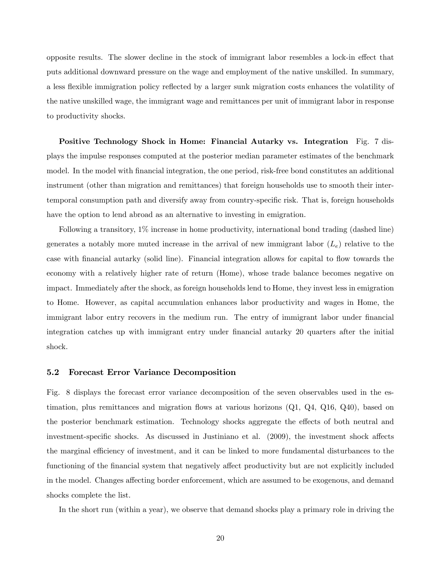opposite results. The slower decline in the stock of immigrant labor resembles a lock-in effect that puts additional downward pressure on the wage and employment of the native unskilled. In summary, a less flexible immigration policy reflected by a larger sunk migration costs enhances the volatility of the native unskilled wage, the immigrant wage and remittances per unit of immigrant labor in response to productivity shocks.

Positive Technology Shock in Home: Financial Autarky vs. Integration Fig. 7 displays the impulse responses computed at the posterior median parameter estimates of the benchmark model. In the model with financial integration, the one period, risk-free bond constitutes an additional instrument (other than migration and remittances) that foreign households use to smooth their intertemporal consumption path and diversify away from country-specific risk. That is, foreign households have the option to lend abroad as an alternative to investing in emigration.

Following a transitory, 1% increase in home productivity, international bond trading (dashed line) generates a notably more muted increase in the arrival of new immigrant labor  $(L_e)$  relative to the case with financial autarky (solid line). Financial integration allows for capital to flow towards the economy with a relatively higher rate of return (Home), whose trade balance becomes negative on impact. Immediately after the shock, as foreign households lend to Home, they invest less in emigration to Home. However, as capital accumulation enhances labor productivity and wages in Home, the immigrant labor entry recovers in the medium run. The entry of immigrant labor under financial integration catches up with immigrant entry under Önancial autarky 20 quarters after the initial shock.

#### 5.2 Forecast Error Variance Decomposition

Fig. 8 displays the forecast error variance decomposition of the seven observables used in the estimation, plus remittances and migration flows at various horizons  $(Q1, Q4, Q16, Q40)$ , based on the posterior benchmark estimation. Technology shocks aggregate the effects of both neutral and investment-specific shocks. As discussed in Justiniano et al. (2009), the investment shock affects the marginal efficiency of investment, and it can be linked to more fundamental disturbances to the functioning of the financial system that negatively affect productivity but are not explicitly included in the model. Changes affecting border enforcement, which are assumed to be exogenous, and demand shocks complete the list.

In the short run (within a year), we observe that demand shocks play a primary role in driving the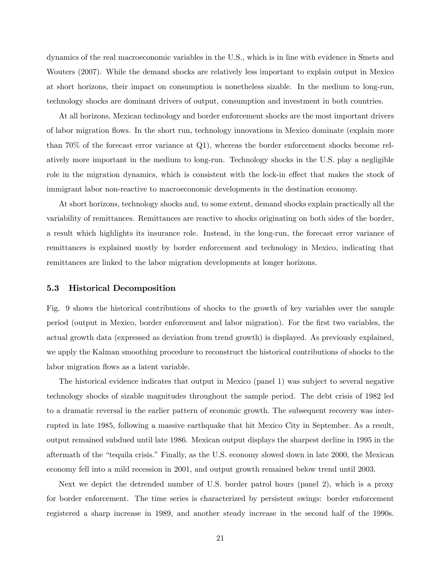dynamics of the real macroeconomic variables in the U.S., which is in line with evidence in Smets and Wouters (2007). While the demand shocks are relatively less important to explain output in Mexico at short horizons, their impact on consumption is nonetheless sizable. In the medium to long-run, technology shocks are dominant drivers of output, consumption and investment in both countries.

At all horizons, Mexican technology and border enforcement shocks are the most important drivers of labor migration áows. In the short run, technology innovations in Mexico dominate (explain more than 70% of the forecast error variance at Q1), whereas the border enforcement shocks become relatively more important in the medium to long-run. Technology shocks in the U.S. play a negligible role in the migration dynamics, which is consistent with the lock-in effect that makes the stock of immigrant labor non-reactive to macroeconomic developments in the destination economy.

At short horizons, technology shocks and, to some extent, demand shocks explain practically all the variability of remittances. Remittances are reactive to shocks originating on both sides of the border, a result which highlights its insurance role. Instead, in the long-run, the forecast error variance of remittances is explained mostly by border enforcement and technology in Mexico, indicating that remittances are linked to the labor migration developments at longer horizons.

#### 5.3 Historical Decomposition

Fig. 9 shows the historical contributions of shocks to the growth of key variables over the sample period (output in Mexico, border enforcement and labor migration). For the Örst two variables, the actual growth data (expressed as deviation from trend growth) is displayed. As previously explained, we apply the Kalman smoothing procedure to reconstruct the historical contributions of shocks to the labor migration flows as a latent variable.

The historical evidence indicates that output in Mexico (panel 1) was subject to several negative technology shocks of sizable magnitudes throughout the sample period. The debt crisis of 1982 led to a dramatic reversal in the earlier pattern of economic growth. The subsequent recovery was interrupted in late 1985, following a massive earthquake that hit Mexico City in September. As a result, output remained subdued until late 1986. Mexican output displays the sharpest decline in 1995 in the aftermath of the "tequila crisis." Finally, as the U.S. economy slowed down in late 2000, the Mexican economy fell into a mild recession in 2001, and output growth remained below trend until 2003.

Next we depict the detrended number of U.S. border patrol hours (panel 2), which is a proxy for border enforcement. The time series is characterized by persistent swings: border enforcement registered a sharp increase in 1989, and another steady increase in the second half of the 1990s.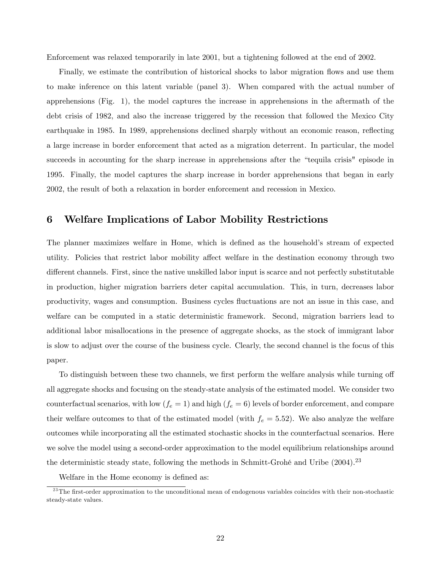Enforcement was relaxed temporarily in late 2001, but a tightening followed at the end of 2002.

Finally, we estimate the contribution of historical shocks to labor migration flows and use them to make inference on this latent variable (panel 3). When compared with the actual number of apprehensions (Fig. 1), the model captures the increase in apprehensions in the aftermath of the debt crisis of 1982, and also the increase triggered by the recession that followed the Mexico City earthquake in 1985. In 1989, apprehensions declined sharply without an economic reason, reflecting a large increase in border enforcement that acted as a migration deterrent. In particular, the model succeeds in accounting for the sharp increase in apprehensions after the "tequila crisis" episode in 1995. Finally, the model captures the sharp increase in border apprehensions that began in early 2002, the result of both a relaxation in border enforcement and recession in Mexico.

#### 6 Welfare Implications of Labor Mobility Restrictions

The planner maximizes welfare in Home, which is defined as the household's stream of expected utility. Policies that restrict labor mobility affect welfare in the destination economy through two different channels. First, since the native unskilled labor input is scarce and not perfectly substitutable in production, higher migration barriers deter capital accumulation. This, in turn, decreases labor productivity, wages and consumption. Business cycles áuctuations are not an issue in this case, and welfare can be computed in a static deterministic framework. Second, migration barriers lead to additional labor misallocations in the presence of aggregate shocks, as the stock of immigrant labor is slow to adjust over the course of the business cycle. Clearly, the second channel is the focus of this paper.

To distinguish between these two channels, we first perform the welfare analysis while turning of all aggregate shocks and focusing on the steady-state analysis of the estimated model. We consider two counterfactual scenarios, with low  $(f_e = 1)$  and high  $(f_e = 6)$  levels of border enforcement, and compare their welfare outcomes to that of the estimated model (with  $f_e = 5.52$ ). We also analyze the welfare outcomes while incorporating all the estimated stochastic shocks in the counterfactual scenarios. Here we solve the model using a second-order approximation to the model equilibrium relationships around the deterministic steady state, following the methods in Schmitt-Grohé and Uribe  $(2004)$ .<sup>23</sup>

Welfare in the Home economy is defined as:

 $^{23}$ The first-order approximation to the unconditional mean of endogenous variables coincides with their non-stochastic steady-state values.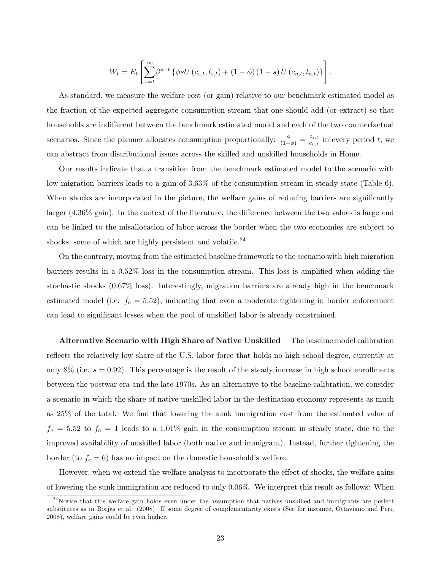$$
W_t = E_t \left[ \sum_{s=t}^{\infty} \beta^{s-t} \left\{ \phi s U(c_{s,t}, l_{s,t}) + (1 - \phi) (1 - s) U(c_{u,t}, l_{u,t}) \right\} \right].
$$

As standard, we measure the welfare cost (or gain) relative to our benchmark estimated model as the fraction of the expected aggregate consumption stream that one should add (or extract) so that households are indifferent between the benchmark estimated model and each of the two counterfactual scenarios. Since the planner allocates consumption proportionally:  $\frac{\phi}{(1-\phi)} = \frac{c_{s,t}}{c_{u,t}}$  $\frac{c_{s,t}}{c_{u,t}}$  in every period t, we can abstract from distributional issues across the skilled and unskilled households in Home.

Our results indicate that a transition from the benchmark estimated model to the scenario with low migration barriers leads to a gain of 3.63% of the consumption stream in steady state (Table 6). When shocks are incorporated in the picture, the welfare gains of reducing barriers are significantly larger  $(4.36\% \text{ gain})$ . In the context of the literature, the difference between the two values is large and can be linked to the misallocation of labor across the border when the two economies are subject to shocks, some of which are highly persistent and volatile. $^{24}$ 

On the contrary, moving from the estimated baseline framework to the scenario with high migration barriers results in a  $0.52\%$  loss in the consumption stream. This loss is amplified when adding the stochastic shocks (0.67% loss). Interestingly, migration barriers are already high in the benchmark estimated model (i.e.  $f_e = 5.52$ ), indicating that even a moderate tightening in border enforcement can lead to significant losses when the pool of unskilled labor is already constrained.

Alternative Scenario with High Share of Native Unskilled The baseline model calibration reflects the relatively low share of the U.S. labor force that holds no high school degree, currently at only 8% (i.e.  $s = 0.92$ ). This percentage is the result of the steady increase in high school enrollments between the postwar era and the late 1970s. As an alternative to the baseline calibration, we consider a scenario in which the share of native unskilled labor in the destination economy represents as much as 25% of the total. We find that lowering the sunk immigration cost from the estimated value of  $f_e = 5.52$  to  $f_e = 1$  leads to a 1.01% gain in the consumption stream in steady state, due to the improved availability of unskilled labor (both native and immigrant). Instead, further tightening the border (to  $f_e = 6$ ) has no impact on the domestic household's welfare.

However, when we extend the welfare analysis to incorporate the effect of shocks, the welfare gains of lowering the sunk immigration are reduced to only 0.06%. We interpret this result as follows: When

 $^{24}$ Notice that this welfare gain holds even under the assumption that natives unskilled and immigrants are perfect substitutes as in Borjas et al. (2008). If some degree of complementarity exists (See for instance, Ottaviano and Peri, 2008), welfare gains could be even higher.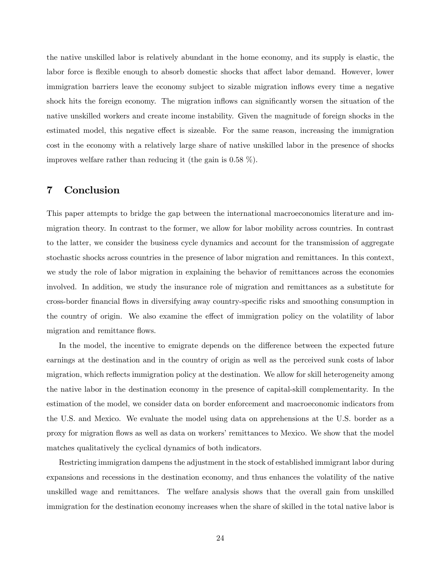the native unskilled labor is relatively abundant in the home economy, and its supply is elastic, the labor force is flexible enough to absorb domestic shocks that affect labor demand. However, lower immigration barriers leave the economy subject to sizable migration inflows every time a negative shock hits the foreign economy. The migration inflows can significantly worsen the situation of the native unskilled workers and create income instability. Given the magnitude of foreign shocks in the estimated model, this negative effect is sizeable. For the same reason, increasing the immigration cost in the economy with a relatively large share of native unskilled labor in the presence of shocks improves welfare rather than reducing it (the gain is  $0.58\%$ ).

## 7 Conclusion

This paper attempts to bridge the gap between the international macroeconomics literature and immigration theory. In contrast to the former, we allow for labor mobility across countries. In contrast to the latter, we consider the business cycle dynamics and account for the transmission of aggregate stochastic shocks across countries in the presence of labor migration and remittances. In this context, we study the role of labor migration in explaining the behavior of remittances across the economies involved. In addition, we study the insurance role of migration and remittances as a substitute for cross-border financial flows in diversifying away country-specific risks and smoothing consumption in the country of origin. We also examine the effect of immigration policy on the volatility of labor migration and remittance flows.

In the model, the incentive to emigrate depends on the difference between the expected future earnings at the destination and in the country of origin as well as the perceived sunk costs of labor migration, which reflects immigration policy at the destination. We allow for skill heterogeneity among the native labor in the destination economy in the presence of capital-skill complementarity. In the estimation of the model, we consider data on border enforcement and macroeconomic indicators from the U.S. and Mexico. We evaluate the model using data on apprehensions at the U.S. border as a proxy for migration flows as well as data on workers' remittances to Mexico. We show that the model matches qualitatively the cyclical dynamics of both indicators.

Restricting immigration dampens the adjustment in the stock of established immigrant labor during expansions and recessions in the destination economy, and thus enhances the volatility of the native unskilled wage and remittances. The welfare analysis shows that the overall gain from unskilled immigration for the destination economy increases when the share of skilled in the total native labor is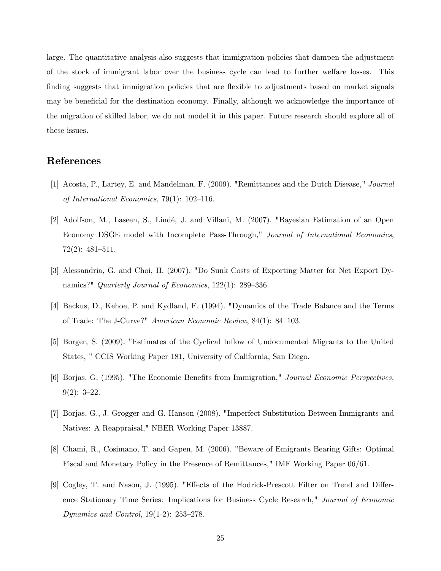large. The quantitative analysis also suggests that immigration policies that dampen the adjustment of the stock of immigrant labor over the business cycle can lead to further welfare losses. This finding suggests that immigration policies that are flexible to adjustments based on market signals may be beneficial for the destination economy. Finally, although we acknowledge the importance of the migration of skilled labor, we do not model it in this paper. Future research should explore all of these issues.

## References

- [1] Acosta, P., Lartey, E. and Mandelman, F. (2009). "Remittances and the Dutch Disease," Journal of International Economics,  $79(1)$ : 102-116.
- [2] Adolfson, M., Laseen, S., Lindé, J. and Villani, M. (2007). "Bayesian Estimation of an Open Economy DSGE model with Incomplete Pass-Through," Journal of International Economics,  $72(2): 481-511.$
- [3] Alessandria, G. and Choi, H. (2007). "Do Sunk Costs of Exporting Matter for Net Export Dynamics?" Quarterly Journal of Economics,  $122(1)$ : 289–336.
- [4] Backus, D., Kehoe, P. and Kydland, F. (1994). "Dynamics of the Trade Balance and the Terms of Trade: The J-Curve?" American Economic Review, 84(1): 84-103.
- [5] Borger, S. (2009). "Estimates of the Cyclical Ináow of Undocumented Migrants to the United States, " CCIS Working Paper 181, University of California, San Diego.
- [6] Borjas, G. (1995). "The Economic Benefits from Immigration," Journal Economic Perspectives,  $9(2): 3-22.$
- [7] Borjas, G., J. Grogger and G. Hanson (2008). "Imperfect Substitution Between Immigrants and Natives: A Reappraisal," NBER Working Paper 13887.
- [8] Chami, R., Cosimano, T. and Gapen, M. (2006). "Beware of Emigrants Bearing Gifts: Optimal Fiscal and Monetary Policy in the Presence of Remittances," IMF Working Paper 06/61.
- [9] Cogley, T. and Nason, J. (1995). "Effects of the Hodrick-Prescott Filter on Trend and Difference Stationary Time Series: Implications for Business Cycle Research," Journal of Economic Dynamics and Control,  $19(1-2)$ :  $253-278$ .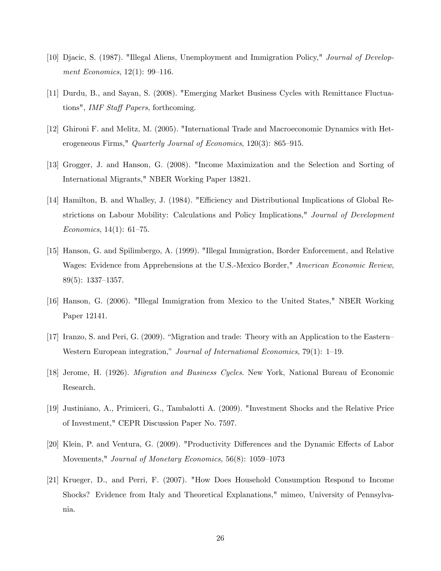- [10] Djacic, S. (1987). "Illegal Aliens, Unemployment and Immigration Policy," Journal of Development Economics,  $12(1)$ : 99–116.
- [11] Durdu, B., and Sayan, S. (2008). "Emerging Market Business Cycles with Remittance Fluctuations", *IMF Staff Papers*, forthcoming.
- [12] Ghironi F. and Melitz, M. (2005). "International Trade and Macroeconomic Dynamics with Heterogeneous Firms," Quarterly Journal of Economics,  $120(3)$ : 865–915.
- [13] Grogger, J. and Hanson, G. (2008). "Income Maximization and the Selection and Sorting of International Migrants," NBER Working Paper 13821.
- [14] Hamilton, B. and Whalley, J. (1984). "Efficiency and Distributional Implications of Global Restrictions on Labour Mobility: Calculations and Policy Implications," Journal of Development Economics,  $14(1)$ : 61–75.
- [15] Hanson, G. and Spilimbergo, A. (1999). "Illegal Immigration, Border Enforcement, and Relative Wages: Evidence from Apprehensions at the U.S.-Mexico Border," American Economic Review, 89(5):  $1337-1357$ .
- [16] Hanson, G. (2006). "Illegal Immigration from Mexico to the United States," NBER Working Paper 12141.
- [17] Iranzo, S. and Peri, G. (2009). "Migration and trade: Theory with an Application to the Eastern– Western European integration," Journal of International Economics, 79(1): 1–19.
- [18] Jerome, H. (1926). Migration and Business Cycles. New York, National Bureau of Economic Research.
- [19] Justiniano, A., Primiceri, G., Tambalotti A. (2009). "Investment Shocks and the Relative Price of Investment," CEPR Discussion Paper No. 7597.
- [20] Klein, P. and Ventura, G. (2009). "Productivity Differences and the Dynamic Effects of Labor Movements," Journal of Monetary Economics,  $56(8)$ : 1059–1073
- [21] Krueger, D., and Perri, F. (2007). "How Does Household Consumption Respond to Income Shocks? Evidence from Italy and Theoretical Explanations," mimeo, University of Pennsylvania.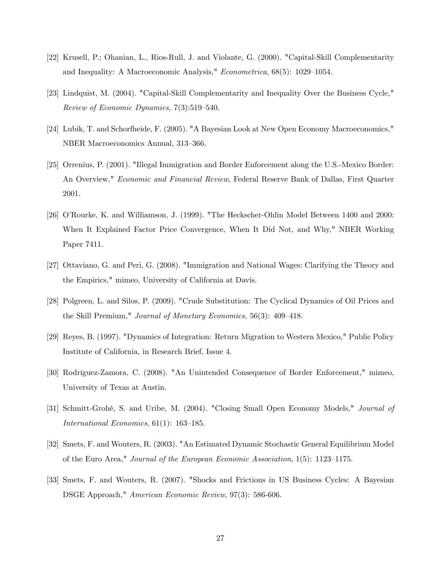- [22] Krusell, P.; Ohanian, L., Rios-Rull, J. and Violante, G. (2000). "Capital-Skill Complementarity and Inequality: A Macroeconomic Analysis,"  $Econometrica$ , 68(5): 1029–1054.
- [23] Lindquist, M. (2004). "Capital-Skill Complementarity and Inequality Over the Business Cycle," Review of Economic Dynamics,  $7(3):519-540$ .
- [24] Lubik, T. and Schorfheide, F. (2005). "A Bayesian Look at New Open Economy Macroeconomics," NBER Macroeconomics Annual, 313-366.
- [25] Orrenius, P. (2001). "Illegal Immigration and Border Enforcement along the U.S.-Mexico Border: An Overview," Economic and Financial Review, Federal Reserve Bank of Dallas, First Quarter 2001.
- [26] OíRourke, K. and Williamson, J. (1999). "The Heckscher-Ohlin Model Between 1400 and 2000: When It Explained Factor Price Convergence, When It Did Not, and Why," NBER Working Paper 7411.
- [27] Ottaviano, G. and Peri, G. (2008). "Immigration and National Wages: Clarifying the Theory and the Empirics," mimeo, University of California at Davis.
- [28] Polgreen, L. and Silos, P. (2009). "Crude Substitution: The Cyclical Dynamics of Oil Prices and the Skill Premium," Journal of Monetary Economics, 56(3):  $409-418$ .
- [29] Reyes, B. (1997). "Dynamics of Integration: Return Migration to Western Mexico," Public Policy Institute of California, in Research Brief, Issue 4.
- [30] Rodríguez-Zamora, C. (2008). "An Unintended Consequence of Border Enforcement," mimeo, University of Texas at Austin.
- [31] Schmitt-Grohé, S. and Uribe, M. (2004). "Closing Small Open Economy Models," *Journal of* International Economics,  $61(1)$ : 163-185.
- [32] Smets, F. and Wouters, R. (2003). "An Estimated Dynamic Stochastic General Equilibrium Model of the Euro Area," Journal of the European Economic Association,  $1(5)$ : 1123–1175.
- [33] Smets, F. and Wouters, R. (2007). "Shocks and Frictions in US Business Cycles: A Bayesian DSGE Approach," American Economic Review, 97(3): 586-606.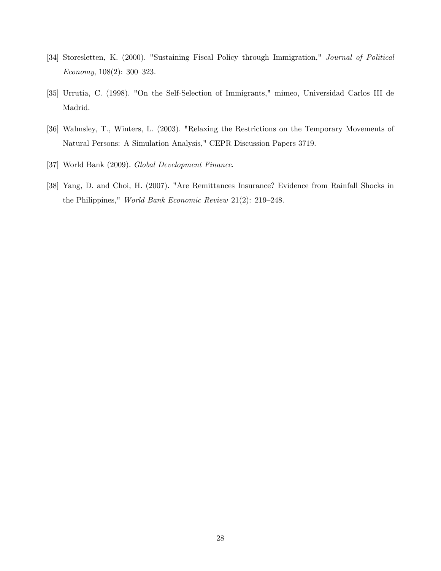- [34] Storesletten, K. (2000). "Sustaining Fiscal Policy through Immigration," Journal of Political Economy,  $108(2)$ :  $300-323$ .
- [35] Urrutia, C. (1998). "On the Self-Selection of Immigrants," mimeo, Universidad Carlos III de Madrid.
- [36] Walmsley, T., Winters, L. (2003). "Relaxing the Restrictions on the Temporary Movements of Natural Persons: A Simulation Analysis," CEPR Discussion Papers 3719.
- [37] World Bank (2009). Global Development Finance.
- [38] Yang, D. and Choi, H. (2007). "Are Remittances Insurance? Evidence from Rainfall Shocks in the Philippines," World Bank Economic Review 21(2): 219-248.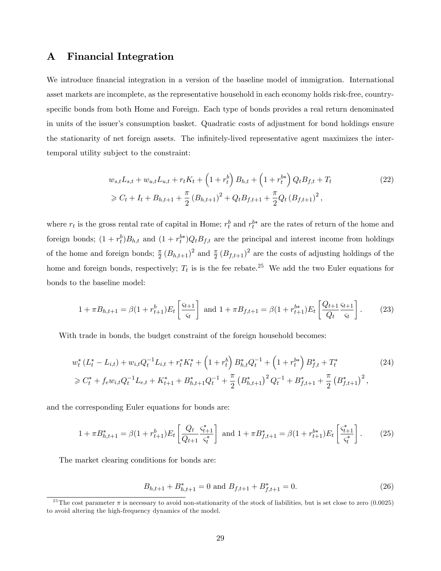## A Financial Integration

We introduce financial integration in a version of the baseline model of immigration. International asset markets are incomplete, as the representative household in each economy holds risk-free, countryspecific bonds from both Home and Foreign. Each type of bonds provides a real return denominated in units of the issuer's consumption basket. Quadratic costs of adjustment for bond holdings ensure the stationarity of net foreign assets. The infinitely-lived representative agent maximizes the intertemporal utility subject to the constraint:

$$
w_{s,t}L_{s,t} + w_{u,t}L_{u,t} + r_tK_t + \left(1 + r_t^b\right)B_{h,t} + \left(1 + r_t^{b*}\right)Q_tB_{f,t} + T_t
$$
  
\n
$$
\geq C_t + I_t + B_{h,t+1} + \frac{\pi}{2}(B_{h,t+1})^2 + Q_tB_{f,t+1} + \frac{\pi}{2}Q_t(B_{f,t+1})^2,
$$
\n(22)

where  $r_t$  is the gross rental rate of capital in Home;  $r_t^b$  and  $r_t^{b*}$  are the rates of return of the home and foreign bonds;  $(1 + r_t^b)B_{h,t}$  and  $(1 + r_t^{b*})Q_tB_{f,t}$  are the principal and interest income from holdings of the home and foreign bonds;  $\frac{\pi}{2} (B_{h,t+1})^2$  and  $\frac{\pi}{2} (B_{f,t+1})^2$  are the costs of adjusting holdings of the home and foreign bonds, respectively;  $T_t$  is is the fee rebate.<sup>25</sup> We add the two Euler equations for bonds to the baseline model:

$$
1 + \pi B_{h,t+1} = \beta (1 + r_{t+1}^b) E_t \left[ \frac{\varsigma_{t+1}}{\varsigma_t} \right] \text{ and } 1 + \pi B_{f,t+1} = \beta (1 + r_{t+1}^{b*}) E_t \left[ \frac{Q_{t+1}}{Q_t} \frac{\varsigma_{t+1}}{\varsigma_t} \right]. \tag{23}
$$

With trade in bonds, the budget constraint of the foreign household becomes:

$$
w_t^* (L_t^* - L_{i,t}) + w_{i,t} Q_t^{-1} L_{i,t} + r_t^* K_t^* + \left(1 + r_t^b\right) B_{h,t}^* Q_t^{-1} + \left(1 + r_t^{b*}\right) B_{f,t}^* + T_t^*
$$
(24)  
\n
$$
\geq C_t^* + f_e w_{i,t} Q_t^{-1} L_{e,t} + K_{t+1}^* + B_{h,t+1}^* Q_t^{-1} + \frac{\pi}{2} \left(B_{h,t+1}^*\right)^2 Q_t^{-1} + B_{f,t+1}^* + \frac{\pi}{2} \left(B_{f,t+1}^*\right)^2,
$$

and the corresponding Euler equations for bonds are:

$$
1 + \pi B_{h,t+1}^* = \beta (1 + r_{t+1}^b) E_t \left[ \frac{Q_t}{Q_{t+1}} \frac{\varsigma_{t+1}^*}{\varsigma_t^*} \right] \text{ and } 1 + \pi B_{f,t+1}^* = \beta (1 + r_{t+1}^{b*}) E_t \left[ \frac{\varsigma_{t+1}^*}{\varsigma_t^*} \right]. \tag{25}
$$

The market clearing conditions for bonds are:

$$
B_{h,t+1} + B_{h,t+1}^* = 0 \text{ and } B_{f,t+1} + B_{f,t+1}^* = 0.
$$
 (26)

<sup>&</sup>lt;sup>25</sup>The cost parameter  $\pi$  is necessary to avoid non-stationarity of the stock of liabilities, but is set close to zero (0.0025) to avoid altering the high-frequency dynamics of the model.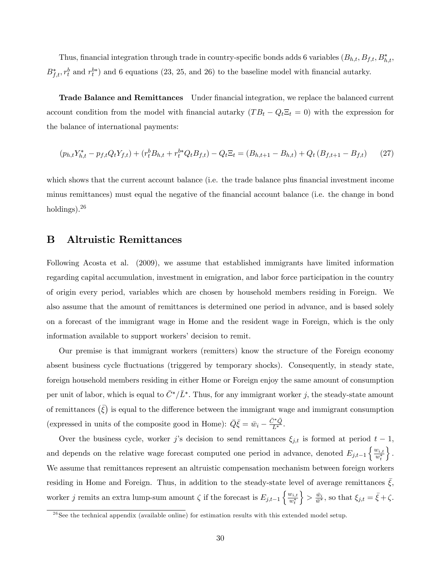Thus, financial integration through trade in country-specific bonds adds 6 variables  $(B_{h,t}, B_{f,t}, B_{h,t}^*,$  $B_{f,t}^*, r_t^b$  and  $r_t^{b*}$ ) and 6 equations (23, 25, and 26) to the baseline model with financial autarky.

**Trade Balance and Remittances** Under financial integration, we replace the balanced current account condition from the model with financial autarky  $(TB_t - Q_t \Xi_t = 0)$  with the expression for the balance of international payments:

$$
(p_{h,t}Y_{h,t}^* - p_{f,t}Q_tY_{f,t}) + (r_t^b B_{h,t} + r_t^{b*} Q_t B_{f,t}) - Q_t \Xi_t = (B_{h,t+1} - B_{h,t}) + Q_t (B_{f,t+1} - B_{f,t})
$$
(27)

which shows that the current account balance (i.e. the trade balance plus financial investment income minus remittances) must equal the negative of the financial account balance (i.e. the change in bond holdings).<sup>26</sup>

#### B Altruistic Remittances

Following Acosta et al. (2009), we assume that established immigrants have limited information regarding capital accumulation, investment in emigration, and labor force participation in the country of origin every period, variables which are chosen by household members residing in Foreign. We also assume that the amount of remittances is determined one period in advance, and is based solely on a forecast of the immigrant wage in Home and the resident wage in Foreign, which is the only information available to support workers' decision to remit.

Our premise is that immigrant workers (remitters) know the structure of the Foreign economy absent business cycle fluctuations (triggered by temporary shocks). Consequently, in steady state, foreign household members residing in either Home or Foreign enjoy the same amount of consumption per unit of labor, which is equal to  $\bar{C}^*/\bar{L}^*$ . Thus, for any immigrant worker j, the steady-state amount of remittances  $(\bar{\xi})$  is equal to the difference between the immigrant wage and immigrant consumption (expressed in units of the composite good in Home):  $\overline{Q}\overline{\xi} = \overline{w}_i - \frac{\overline{C}^*\overline{Q}}{L^*}.$ 

Over the business cycle, worker j's decision to send remittances  $\xi_{j,t}$  is formed at period  $t-1$ , and depends on the relative wage forecast computed one period in advance, denoted  $E_{j,t-1}\left\{\frac{w_{i,t}}{w_t^*}\right\}$  $w_t^*$  $\big\}$ . We assume that remittances represent an altruistic compensation mechanism between foreign workers residing in Home and Foreign. Thus, in addition to the steady-state level of average remittances  $\xi$ . worker *j* remits an extra lump-sum amount  $\zeta$  if the forecast is  $E_{j,t-1} \left\{ \frac{w_{i,t}}{w_t^*} \right\}$  $w_t^*$  $\left\} > \frac{\bar{w}_i}{\bar{w}^*}$ , so that  $\xi_{j,t} = \bar{\xi} + \zeta$ .

 $^{26}$ See the technical appendix (available online) for estimation results with this extended model setup.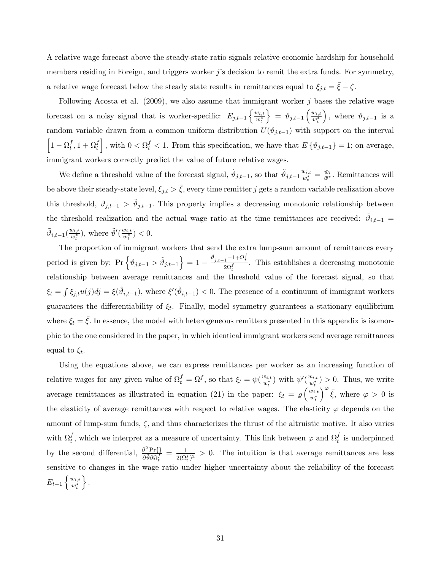A relative wage forecast above the steady-state ratio signals relative economic hardship for household members residing in Foreign, and triggers worker  $j$ 's decision to remit the extra funds. For symmetry, a relative wage forecast below the steady state results in remittances equal to  $\xi_{j,t} = \xi - \zeta$ .

Following Acosta et al.  $(2009)$ , we also assume that immigrant worker j bases the relative wage forecast on a noisy signal that is worker-specific:  $E_{j,t-1} \left\{ \frac{w_{i,t}}{w_t^*} \right\}$  $\overline{w_t^*}$  $\Big\} \ = \ \vartheta_{j,t-1} \left( \frac{w_{i,t}}{w_t^*} \right)$  $\overline{w_t^*}$ ), where  $\vartheta_{j,t-1}$  is a random variable drawn from a common uniform distribution  $U(\vartheta_{j,t-1})$  with support on the interval  $\Bigl[1-\Omega_t^f$  $t^f, 1 + \Omega_t^f$ t , with  $0 < \Omega_t^f < 1$ . From this specification, we have that  $E\{\vartheta_{j,t-1}\} = 1$ ; on average, immigrant workers correctly predict the value of future relative wages.

We define a threshold value of the forecast signal,  $\tilde{\vartheta}_{j,t-1}$ , so that  $\tilde{\vartheta}_{j,t-1} \frac{w_{i,t}}{w_t^*}$  $\frac{w_{i,t}}{w_t^*} = \frac{\bar{w}_i}{\bar{w}^*}$ . Remittances will be above their steady-state level,  $\xi_{j,t} > \bar{\xi}$ , every time remitter j gets a random variable realization above this threshold,  $\vartheta_{j,t-1} > \tilde{\vartheta}_{j,t-1}$ . This property implies a decreasing monotonic relationship between the threshold realization and the actual wage ratio at the time remittances are received:  $\tilde{\vartheta}_{i,t-1} =$  $\tilde{\vartheta}_{i,t-1}(\frac{w_{i,t}}{w_t^*}$  $\frac{w_{i,t}}{w_t^*}$ ), where  $\tilde{\vartheta}'(\frac{w_{i,t}}{w_t^*})$  $\frac{w_{i,t}}{w_t^*}$ ) < 0.

The proportion of immigrant workers that send the extra lump-sum amount of remittances every period is given by:  $Pr\left\{\vartheta_{j,t-1} > \tilde{\vartheta}_{j,t-1}\right\}$  $\Big\} = 1 - \frac{\tilde{\vartheta}_{j,t-1} - 1 + \Omega_t^f}{2\Omega_t^f}$  $\frac{1}{2\Omega_t^f}$ . This establishes a decreasing monotonic relationship between average remittances and the threshold value of the forecast signal, so that  $\xi_t = \int \xi_{j,t} u(j) dj = \xi(\tilde{\vartheta}_{i,t-1}),$  where  $\xi'(\tilde{\vartheta}_{i,t-1}) < 0$ . The presence of a continuum of immigrant workers guarantees the differentiability of  $\xi_t$ . Finally, model symmetry guarantees a stationary equilibrium where  $\xi_t = \bar{\xi}$ . In essence, the model with heterogeneous remitters presented in this appendix is isomorphic to the one considered in the paper, in which identical immigrant workers send average remittances equal to  $\xi_t$ .

Using the equations above, we can express remittances per worker as an increasing function of relative wages for any given value of  $\Omega_t^f = \Omega_f^f$ , so that  $\xi_t = \psi(\frac{w_{i,t}}{w_t^*})$  $\frac{w_{i,t}}{w_t^*}$ ) with  $\psi'(\frac{w_{i,t}}{w_t^*})$  $\frac{w_{i,t}}{w_t^*}$  > 0. Thus, we write average remittances as illustrated in equation (21) in the paper:  $\xi_t = \varrho \left( \frac{w_{i,t}}{w^*} \right)$  $w_t^*$  $\int^{\varphi} \bar{\xi}$ , where  $\varphi > 0$  is the elasticity of average remittances with respect to relative wages. The elasticity  $\varphi$  depends on the amount of lump-sum funds,  $\zeta$ , and thus characterizes the thrust of the altruistic motive. It also varies with  $\Omega_t^f$  $_t^f$ , which we interpret as a measure of uncertainty. This link between  $\varphi$  and  $\Omega_t^f$  $t$  is underpinned by the second differential,  $\frac{\partial^2 \Pr\{\}}{\partial \tilde{g} \partial \Omega}$  $\frac{\partial^2 \Pr \{\}}{\partial \tilde{\vartheta}\partial \Omega_{t}^f} \ = \ \frac{1}{2(\Omega_{t})}$  $\frac{1}{2(\Omega_t^f)^2} > 0$ . The intuition is that average remittances are less sensitive to changes in the wage ratio under higher uncertainty about the reliability of the forecast  $E_{t-1}\left\{\frac{w_{i,t}}{w_t^*}\right\}$  $w_t^*$  $\big\}$ .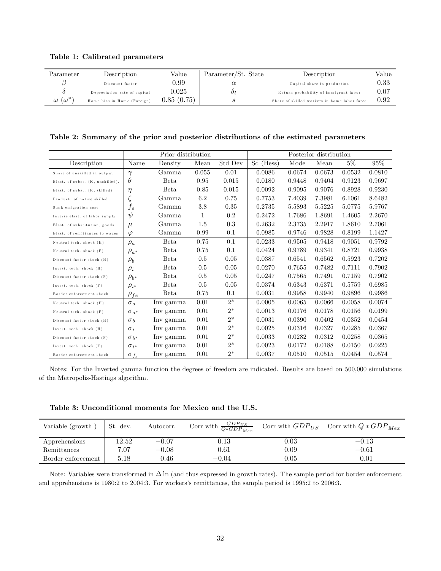Table 1: Calibrated parameters

| Parameter               | Description                  | Value       | Parameter/St. State | Description                                  | Value |
|-------------------------|------------------------------|-------------|---------------------|----------------------------------------------|-------|
|                         | Discount factor              | ).99        | $\alpha$            | Capital share in production                  | 0.33  |
|                         | Depreciation rate of capital | $\,0.025\,$ |                     | Return probability of immigrant labor        | 0.07  |
| $1\omega^*$<br>$\omega$ | Home bias in Home (Foreign)  | 0.85(0.75)  |                     | Share of skilled workers in home labor force | 0.92  |

Table 2: Summary of the prior and posterior distributions of the estimated parameters

|                                  | Prior distribution |             |         |         | Posterior distribution |        |        |        |        |
|----------------------------------|--------------------|-------------|---------|---------|------------------------|--------|--------|--------|--------|
| Description                      | Name               | Density     | Mean    | Std Dev | Sd (Hess)              | Mode   | Mean   | $5\%$  | $95\%$ |
| Share of unskilled in output     | $\gamma$           | Gamma       | 0.055   | 0.01    | 0.0086                 | 0.0674 | 0.0673 | 0.0532 | 0.0810 |
| Elast. of subst. (K, unskilled). | $\theta$           | Beta        | 0.95    | 0.015   | 0.0180                 | 0.9448 | 0.9404 | 0.9123 | 0.9697 |
| Elast. of subst. (K, skilled)    | $\eta$             | Beta        | 0.85    | 0.015   | 0.0092                 | 0.9095 | 0.9076 | 0.8928 | 0.9230 |
| Product. of native skilled       | ς                  | Gamma       | 6.2     | 0.75    | 0.7753                 | 7.4039 | 7.3981 | 6.1061 | 8.6482 |
| Sunk emigration cost             | $f_e$              | Gamma       | 3.8     | 0.35    | 0.2735                 | 5.5893 | 5.5225 | 5.0775 | 5.9767 |
| Inverse elast, of labor supply   | $\psi$             | Gamma       | 1       | $0.2\,$ | 0.2472                 | 1.7686 | 1.8691 | 1.4605 | 2.2670 |
| Elast. of substitution, goods    | $\mu$              | Gamma       | 1.5     | 0.3     | 0.2632                 | 2.3735 | 2.2917 | 1.8610 | 2.7061 |
| Elast. of remittances to wages   | $\varphi$          | Gamma       | 0.99    | 0.1     | 0.0985                 | 0.9746 | 0.9828 | 0.8199 | 1.1427 |
| Neutral tech. shock (H)          | $\rho_a$           | Beta        | 0.75    | 0.1     | 0.0233                 | 0.9505 | 0.9418 | 0.9051 | 0.9792 |
| Neutral tech. shock (F)          | $\rho_{a^*}$       | Beta        | 0.75    | 0.1     | 0.0424                 | 0.9789 | 0.9341 | 0.8721 | 0.9938 |
| Discount factor shock (H)        | $\rho_b$           | Beta        | 0.5     | 0.05    | 0.0387                 | 0.6541 | 0.6562 | 0.5923 | 0.7202 |
| Invest. tech. shock (H)          | $\rho_i$           | <b>Beta</b> | 0.5     | 0.05    | 0.0270                 | 0.7655 | 0.7482 | 0.7111 | 0.7902 |
| Discount factor shock (F)        | $\rho_{b*}$        | <b>Beta</b> | $0.5\,$ | 0.05    | 0.0247                 | 0.7565 | 0.7491 | 0.7159 | 0.7902 |
| Invest. tech. shock (F)          | $\rho_{i^*}$       | Beta        | 0.5     | 0.05    | 0.0374                 | 0.6343 | 0.6371 | 0.5759 | 0.6985 |
| Border enforcement shock         | $\rho_{fe}$        | <b>Beta</b> | 0.75    | 0.1     | 0.0031                 | 0.9958 | 0.9940 | 0.9896 | 0.9986 |
| Neutral tech. shock (H)          | $\sigma_a$         | lny gamma   | 0.01    | $2*$    | 0.0005                 | 0.0065 | 0.0066 | 0.0058 | 0.0074 |
| Neutral tech. shock (F)          | $\sigma_{a^*}$     | lny gamma   | 0.01    | $2^*$   | 0.0013                 | 0.0176 | 0.0178 | 0.0156 | 0.0199 |
| Discount factor shock (H)        | $\sigma_b$         | Inv gamma   | 0.01    | $2^*$   | 0.0031                 | 0.0390 | 0.0402 | 0.0352 | 0.0454 |
| Invest. tech. shock (H)          | $\sigma_i$         | Inv gamma   | 0.01    | $2*$    | 0.0025                 | 0.0316 | 0.0327 | 0.0285 | 0.0367 |
| Discount factor shock (F)        | $\sigma_{b^*}$     | lny gamma   | 0.01    | $2^*$   | 0.0033                 | 0.0282 | 0.0312 | 0.0258 | 0.0365 |
| Invest. tech. shock (F)          | $\sigma_{i^*}$     | lny gamma   | 0.01    | $2^*$   | 0.0023                 | 0.0172 | 0.0188 | 0.0150 | 0.0225 |
| Border enforcement shock         | $\sigma_{f_e}$     | Inv gamma   | 0.01    | $2^*$   | 0.0037                 | 0.0510 | 0.0515 | 0.0454 | 0.0574 |

Notes: For the Inverted gamma function the degrees of freedom are indicated. Results are based on 500,000 simulations of the Metropolis-Hastings algorithm.

Table 3: Unconditional moments for Mexico and the U.S.

| Variable (growth)  | St. dev. | Autocorr. | Corr with $\frac{GDP_{US}}{Q*GDP_{Mer}}$ |            | Corr with $GDP_{US}$ Corr with $Q * GDP_{Mex}$ |
|--------------------|----------|-----------|------------------------------------------|------------|------------------------------------------------|
| Apprehensions      | 12.52    | $-0.07$   | $\rm 0.13$                               | $\rm 0.03$ | $-0.13$                                        |
| Remittances        | 7.07     | $-0.08$   | $\rm 0.61$                               | $0.09\,$   | $-0.61$                                        |
| Border enforcement | 5.18     | 0.46      | $-0.04$                                  | $\rm 0.05$ | $0.01\,$                                       |

Note: Variables were transformed in  $\Delta \ln$  (and thus expressed in growth rates). The sample period for border enforcement and apprehensions is 1980:2 to 2004:3. For workersís remittances, the sample period is 1995:2 to 2006:3.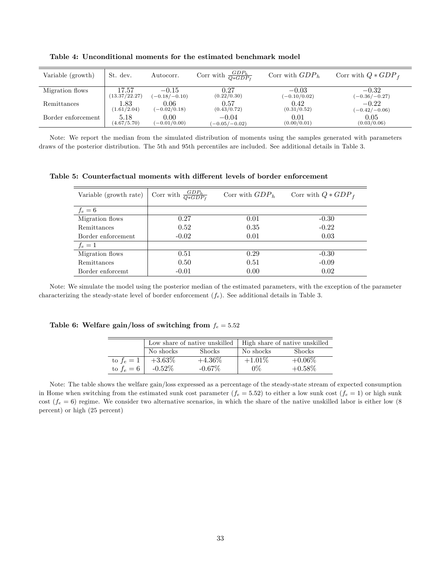| Variable (growth)  | St. dev.      | Autocorr.       | Corr with $\frac{GDP_h}{Q*GDP_f}$ | Corr with $GDPh$ | Corr with $Q * GDP_{f}$ |
|--------------------|---------------|-----------------|-----------------------------------|------------------|-------------------------|
| Migration flows    | 17.57         | $-0.15$         | 0.27                              | $-0.03$          | $-0.32$                 |
|                    | (13.37/22.27) | $(-0.18/-0.10)$ | (0.22/0.30)                       | $(-0.10/0.02)$   | $(-0.36/-0.27)$         |
| Remittances        | 1.83          | 0.06            | 0.57                              | 0.42             | $-0.22$                 |
|                    | (1.61/2.04)   | $(-0.02/0.18)$  | (0.43/0.72)                       | (0.31/0.52)      | $(-0.42/-0.06)$         |
| Border enforcement | 5.18          | 0.00            | $-0.04$                           | 0.01             | 0.05                    |
|                    | (4.67/5.70)   | $(-0.01/0.00)$  | $(-0.05/-0.02)$                   | (0.00/0.01)      | (0.03/0.06)             |

Table 4: Unconditional moments for the estimated benchmark model

Note: We report the median from the simulated distribution of moments using the samples generated with parameters draws of the posterior distribution. The 5th and 95th percentiles are included. See additional details in Table 3.

Table 5: Counterfactual moments with different levels of border enforcement

| Variable (growth rate) | Corr with $\frac{GDP_h}{Q * GDP_f}$ | Corr with $GDPh$ | Corr with $Q * GDP_{f}$ |
|------------------------|-------------------------------------|------------------|-------------------------|
| $f_e = 6$              |                                     |                  |                         |
| Migration flows        | 0.27                                | 0.01             | $-0.30$                 |
| Remittances            | 0.52                                | 0.35             | $-0.22$                 |
| Border enforcement     | $-0.02$                             | 0.01             | 0.03                    |
| $f_e=1$                |                                     |                  |                         |
| Migration flows        | 0.51                                | 0.29             | $-0.30$                 |
| Remittances            | 0.50                                | 0.51             | $-0.09$                 |
| Border enforcemt       | $-0.01$                             | 0.00             | 0.02                    |

Note: We simulate the model using the posterior median of the estimated parameters, with the exception of the parameter characterizing the steady-state level of border enforcement  $(f_e)$ . See additional details in Table 3.

| Table 6: Welfare gain/loss of switching from $f_e = 5.52$ |  |  |  |  |
|-----------------------------------------------------------|--|--|--|--|
|-----------------------------------------------------------|--|--|--|--|

|              |                            |           | Low share of native unskilled $\parallel$ High share of native unskilled |               |  |  |
|--------------|----------------------------|-----------|--------------------------------------------------------------------------|---------------|--|--|
|              | No shocks<br><b>Shocks</b> |           | No shocks                                                                | <b>Shocks</b> |  |  |
| to $f_e = 1$ | $+3.63\%$                  | $+4.36\%$ | $+1.01\%$                                                                | $+0.06\%$     |  |  |
| to $f_e = 6$ | $-0.52\%$                  | $-0.67\%$ | $0\%$                                                                    | $+0.58\%$     |  |  |

Note: The table shows the welfare gain/loss expressed as a percentage of the steady-state stream of expected consumption in Home when switching from the estimated sunk cost parameter  $(f_e = 5.52)$  to either a low sunk cost  $(f_e = 1)$  or high sunk cost  $(f_e = 6)$  regime. We consider two alternative scenarios, in which the share of the native unskilled labor is either low (8) percent) or high (25 percent)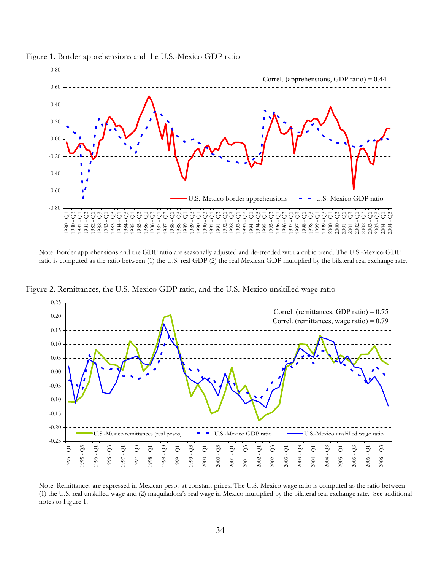

Figure 1. Border apprehensions and the U.S.-Mexico GDP ratio

Note: Border apprehensions and the GDP ratio are seasonally adjusted and de-trended with a cubic trend. The U.S.-Mexico GDP ratio is computed as the ratio between (1) the U.S. real GDP (2) the real Mexican GDP multiplied by the bilateral real exchange rate.



Figure 2. Remittances, the U.S.-Mexico GDP ratio, and the U.S.-Mexico unskilled wage ratio

Note: Remittances are expressed in Mexican pesos at constant prices. The U.S.-Mexico wage ratio is computed as the ratio between (1) the U.S. real unskilled wage and (2) maquiladora's real wage in Mexico multiplied by the bilateral real exchange rate. See additional notes to Figure 1.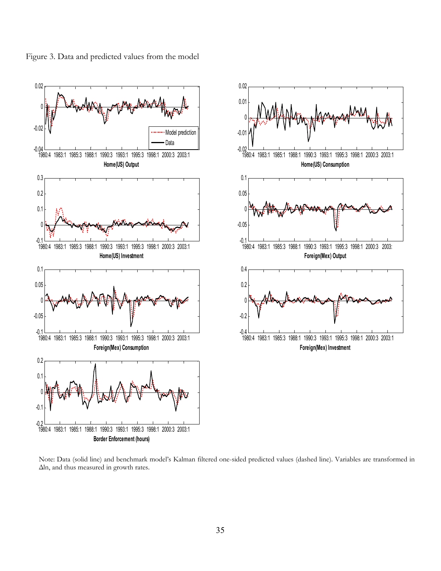



Note: Data (solid line) and benchmark model's Kalman filtered one-sided predicted values (dashed line). Variables are transformed in Δln, and thus measured in growth rates.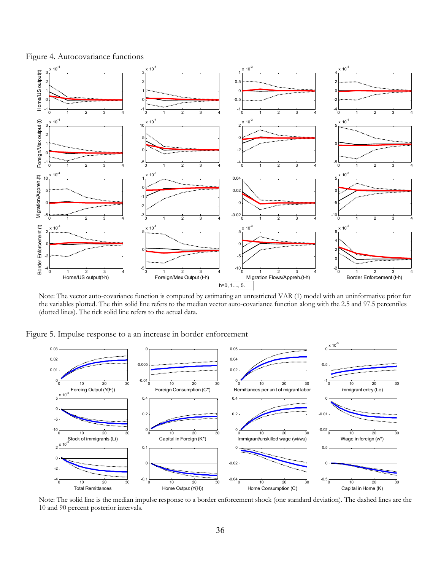

Figure 4. Autocovariance functions

Note: The vector auto-covariance function is computed by estimating an unrestricted VAR (1) model with an uninformative prior for the variables plotted. The thin solid line refers to the median vector auto-covariance function along with the 2.5 and 97.5 percentiles (dotted lines). The tick solid line refers to the actual data.

Figure 5. Impulse response to a an increase in border enforcement



Note: The solid line is the median impulse response to a border enforcement shock (one standard deviation). The dashed lines are the 10 and 90 percent posterior intervals.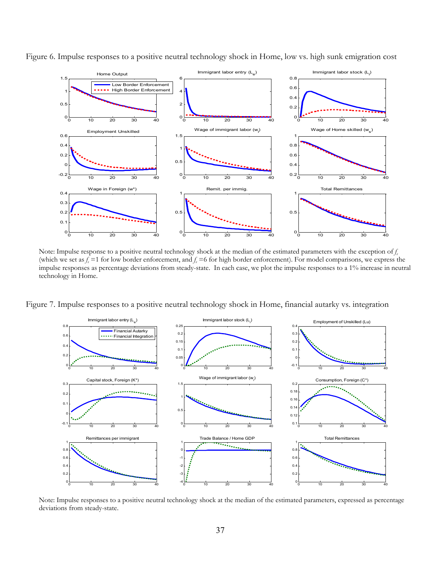

Figure 6. Impulse responses to a positive neutral technology shock in Home, low vs. high sunk emigration cost

Note: Impulse response to a positive neutral technology shock at the median of the estimated parameters with the exception of *fe* (which we set as  $f_e = 1$  for low border enforcement, and  $f_e = 6$  for high border enforcement). For model comparisons, we express the impulse responses as percentage deviations from steady-state. In each case, we plot the impulse responses to a 1% increase in neutral technology in Home.

Figure 7. Impulse responses to a positive neutral technology shock in Home, financial autarky vs. integration



Note: Impulse responses to a positive neutral technology shock at the median of the estimated parameters, expressed as percentage deviations from steady-state.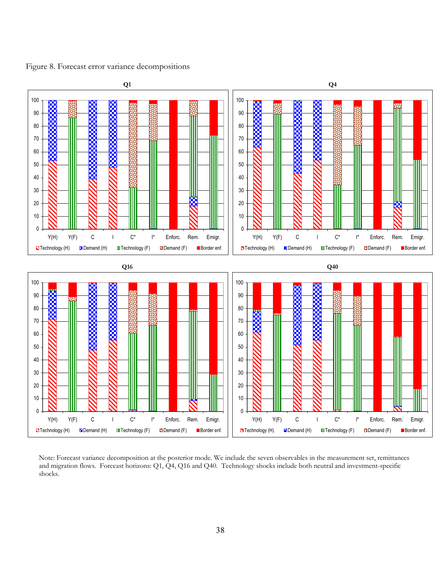Figure 8. Forecast error variance decompositions



Note: Forecast variance decomposition at the posterior mode. We include the seven observables in the measurement set, remittances and migration flows. Forecast horizons: Q1, Q4, Q16 and Q40. Technology shocks include both neutral and investment-specific shocks.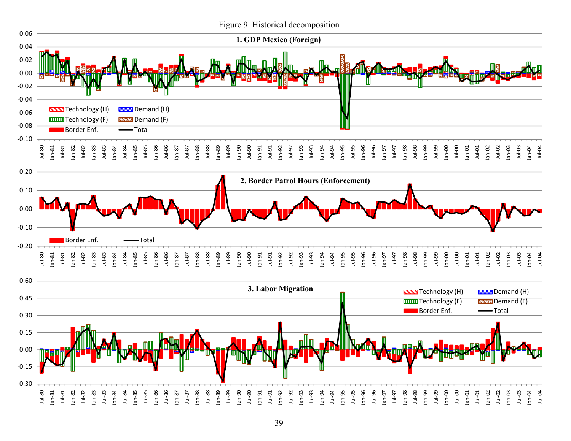

## 39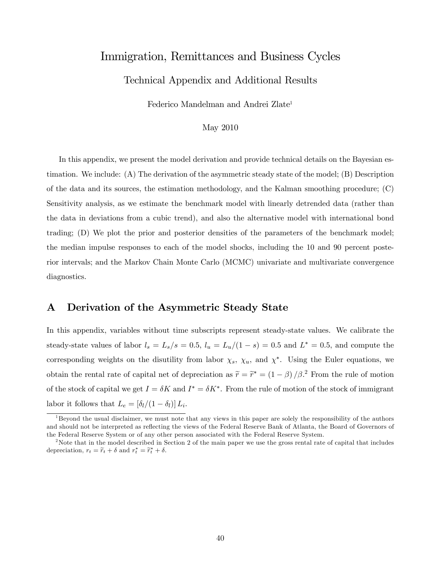## Immigration, Remittances and Business Cycles

Technical Appendix and Additional Results

Federico Mandelman and Andrei Zlate<sup>1</sup>

#### May 2010

In this appendix, we present the model derivation and provide technical details on the Bayesian estimation. We include: (A) The derivation of the asymmetric steady state of the model; (B) Description of the data and its sources, the estimation methodology, and the Kalman smoothing procedure; (C) Sensitivity analysis, as we estimate the benchmark model with linearly detrended data (rather than the data in deviations from a cubic trend), and also the alternative model with international bond trading; (D) We plot the prior and posterior densities of the parameters of the benchmark model; the median impulse responses to each of the model shocks, including the 10 and 90 percent posterior intervals; and the Markov Chain Monte Carlo (MCMC) univariate and multivariate convergence diagnostics.

## A Derivation of the Asymmetric Steady State

In this appendix, variables without time subscripts represent steady-state values. We calibrate the steady-state values of labor  $l_s = L_s/s = 0.5$ ,  $l_u = L_u/(1 - s) = 0.5$  and  $L^* = 0.5$ , and compute the corresponding weights on the disutility from labor  $\chi_s$ ,  $\chi_u$ , and  $\chi^*$ . Using the Euler equations, we obtain the rental rate of capital net of depreciation as  $\tilde{r} = \tilde{r}^* = (1 - \beta) / \beta^2$ . From the rule of motion of the stock of capital we get  $I = \delta K$  and  $I^* = \delta K^*$ . From the rule of motion of the stock of immigrant labor it follows that  $L_e = \left[\delta_l/(1 - \delta_l)\right] L_i$ .

<sup>&</sup>lt;sup>1</sup>Beyond the usual disclaimer, we must note that any views in this paper are solely the responsibility of the authors and should not be interpreted as reflecting the views of the Federal Reserve Bank of Atlanta, the Board of Governors of the Federal Reserve System or of any other person associated with the Federal Reserve System.

<sup>&</sup>lt;sup>2</sup>Note that in the model described in Section 2 of the main paper we use the gross rental rate of capital that includes depreciation,  $r_t = \tilde{r}_t + \delta$  and  $r_t^* = \tilde{r}_t^* + \delta$ .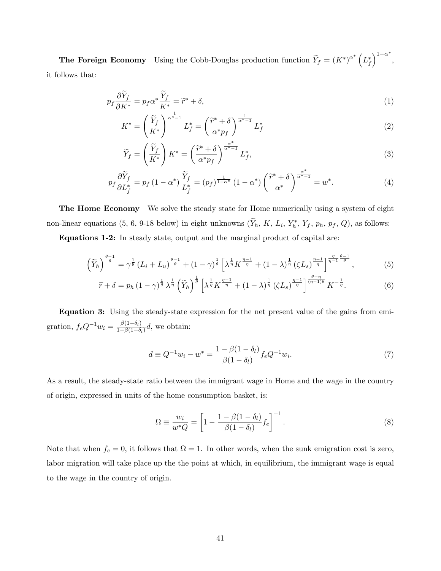The Foreign Economy Using the Cobb-Douglas production function  $\widetilde{Y}_f = (K^*)^{\alpha^*} \left( L_f^* \right)$  $\big)^{1-\alpha^*},$ it follows that:

$$
p_f \frac{\partial \widetilde{Y}_f}{\partial K^*} = p_f \alpha^* \frac{\widetilde{Y}_f}{K^*} = \widetilde{r}^* + \delta,\tag{1}
$$

$$
K^* = \left(\frac{\widetilde{Y}_f}{K^*}\right)^{\frac{1}{\alpha^*-1}} L_f^* = \left(\frac{\widetilde{r}^* + \delta}{\alpha^* p_f}\right)^{\frac{1}{\alpha^*-1}} L_f^*
$$
\n<sup>(2)</sup>

$$
\widetilde{Y}_f = \left(\frac{\widetilde{Y}_f}{K^*}\right) K^* = \left(\frac{\widetilde{r}^* + \delta}{\alpha^* p_f}\right)^{\frac{\alpha^*}{\alpha^* - 1}} L_f^*,\tag{3}
$$

$$
p_f \frac{\partial \widetilde{Y}_f}{\partial L_f^*} = p_f \left(1 - \alpha^*\right) \frac{\widetilde{Y}_f}{L_f^*} = (p_f)^{\frac{1}{1 - \alpha^*}} \left(1 - \alpha^*\right) \left(\frac{\widetilde{r}^* + \delta}{\alpha^*}\right)^{\frac{\alpha^*}{\alpha^* - 1}} = w^*.
$$
 (4)

**The Home Economy** We solve the steady state for Home numerically using a system of eight non-linear equations (5, 6, 9-18 below) in eight unknowns  $(Y_h, K, L_i, Y_h^*, Y_f, p_h, p_f, Q)$ , as follows:

Equations 1-2: In steady state, output and the marginal product of capital are:

$$
\left(\widetilde{Y}_h\right)^{\frac{\theta-1}{\theta}} = \gamma^{\frac{1}{\theta}} \left(L_i + L_u\right)^{\frac{\theta-1}{\theta}} + \left(1 - \gamma\right)^{\frac{1}{\theta}} \left[\lambda^{\frac{1}{\eta}} K^{\frac{\eta-1}{\eta}} + \left(1 - \lambda\right)^{\frac{1}{\eta}} \left(\zeta L_s\right)^{\frac{\eta-1}{\eta}}\right]^{\frac{\eta}{\eta-1}\frac{\theta-1}{\theta}},\tag{5}
$$

$$
\widetilde{r} + \delta = p_h \left(1 - \gamma\right)^{\frac{1}{\theta}} \lambda^{\frac{1}{\eta}} \left(\widetilde{Y}_h\right)^{\frac{1}{\theta}} \left[\lambda^{\frac{1}{\eta}} K^{\frac{\eta - 1}{\eta}} + \left(1 - \lambda\right)^{\frac{1}{\eta}} \left(\zeta L_s\right)^{\frac{\eta - 1}{\eta}}\right]^{\frac{\theta - \eta}{(\eta - 1)\theta}} K^{-\frac{1}{\eta}}.
$$
\n
$$
\tag{6}
$$

Equation 3: Using the steady-state expression for the net present value of the gains from emigration,  $f_e Q^{-1} w_i = \frac{\beta(1-\delta_i)}{1-\beta(1-\delta_i)}$  $\frac{\beta(1-\theta_l)}{1-\beta(1-\delta_l)}d$ , we obtain:

$$
d \equiv Q^{-1}w_i - w^* = \frac{1 - \beta(1 - \delta_l)}{\beta(1 - \delta_l)} f_e Q^{-1} w_i.
$$
\n(7)

As a result, the steady-state ratio between the immigrant wage in Home and the wage in the country of origin, expressed in units of the home consumption basket, is:

$$
\Omega \equiv \frac{w_i}{w^*Q} = \left[1 - \frac{1 - \beta(1 - \delta_l)}{\beta(1 - \delta_l)} f_e\right]^{-1}.\tag{8}
$$

Note that when  $f_e = 0$ , it follows that  $\Omega = 1$ . In other words, when the sunk emigration cost is zero, labor migration will take place up the the point at which, in equilibrium, the immigrant wage is equal to the wage in the country of origin.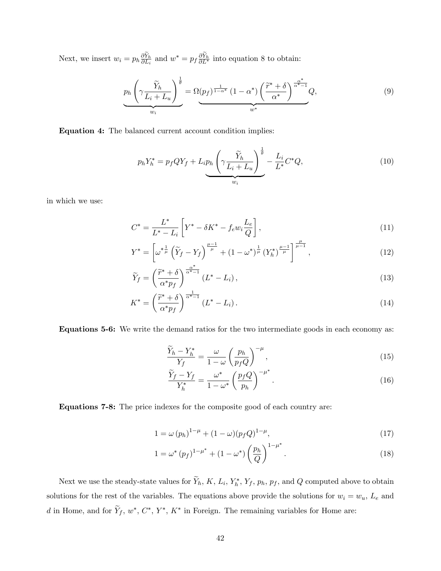Next, we insert  $w_i = p_h \frac{\partial Y_h}{\partial L_i}$  and  $w^* = p_f \frac{\partial Y_h}{\partial L^*}$  into equation 8 to obtain:

$$
\underbrace{p_h\left(\gamma\frac{\widetilde{Y}_h}{L_i+L_u}\right)^{\frac{1}{\theta}}}_{w_i} = \Omega(p_f)^{\frac{1}{1-\alpha^*}}\left(1-\alpha^*\right)\left(\frac{\widetilde{r}^*+\delta}{\alpha^*}\right)^{\frac{\alpha^*}{\alpha^*-1}}Q,\tag{9}
$$

Equation 4: The balanced current account condition implies:

$$
p_h Y_h^* = p_f Q Y_f + L_i p_h \underbrace{\left(\gamma \frac{\widetilde{Y}_h}{L_i + L_u}\right)^{\frac{1}{\theta}}}_{w_i} - \frac{L_i}{L^*} C^* Q,\tag{10}
$$

in which we use:

$$
C^* = \frac{L^*}{L^* - L_i} \left[ Y^* - \delta K^* - f_e w_i \frac{L_e}{Q} \right],
$$
\n(11)

$$
Y^* = \left[ \omega^{*\frac{1}{\mu}} \left( \tilde{Y}_f - Y_f \right)^{\frac{\mu-1}{\mu}} + (1 - \omega^*)^{\frac{1}{\mu}} \left( Y_h^* \right)^{\frac{\mu-1}{\mu}} \right]^{\frac{\mu}{\mu-1}},\tag{12}
$$

$$
\widetilde{Y}_f = \left(\frac{\widetilde{r}^* + \delta}{\alpha^* p_f}\right)^{\frac{\alpha^*}{\alpha^* - 1}} \left(L^* - L_i\right),\tag{13}
$$

$$
K^* = \left(\frac{\widetilde{r}^* + \delta}{\alpha^* p_f}\right)^{\frac{1}{\alpha^* - 1}} (L^* - L_i). \tag{14}
$$

Equations 5-6: We write the demand ratios for the two intermediate goods in each economy as:

$$
\frac{\widetilde{Y}_h - Y_h^*}{Y_f} = \frac{\omega}{1 - \omega} \left(\frac{p_h}{p_f Q}\right)^{-\mu},\tag{15}
$$

$$
\frac{\widetilde{Y}_f - Y_f}{Y_h^*} = \frac{\omega^*}{1 - \omega^*} \left(\frac{p_f Q}{p_h}\right)^{-\mu^*}.\tag{16}
$$

Equations 7-8: The price indexes for the composite good of each country are:

$$
1 = \omega (p_h)^{1-\mu} + (1-\omega)(p_f Q)^{1-\mu}, \qquad (17)
$$

$$
1 = \omega^* (p_f)^{1 - \mu^*} + (1 - \omega^*) \left(\frac{p_h}{Q}\right)^{1 - \mu^*}.
$$
 (18)

Next we use the steady-state values for  $Y_h$ ,  $K$ ,  $L_i$ ,  $Y_h^*$ ,  $Y_f$ ,  $p_h$ ,  $p_f$ , and  $Q$  computed above to obtain solutions for the rest of the variables. The equations above provide the solutions for  $w_i = w_u$ ,  $L_e$  and d in Home, and for  $Y_f$ ,  $w^*$ ,  $C^*$ ,  $Y^*$ ,  $K^*$  in Foreign. The remaining variables for Home are: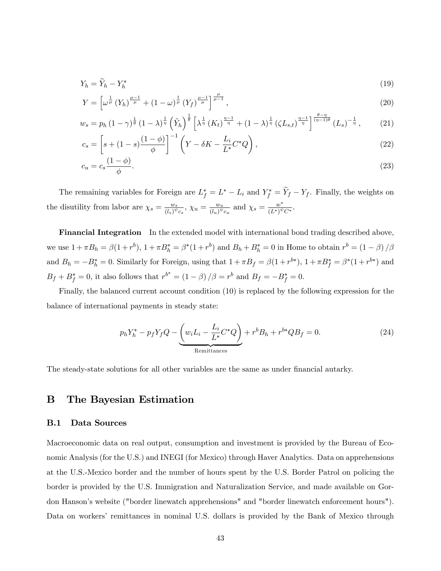$$
Y_h = \widetilde{Y}_h - Y_h^* \tag{19}
$$

$$
Y = \left[\omega^{\frac{1}{\mu}}\left(Y_h\right)^{\frac{\mu-1}{\mu}} + \left(1 - \omega\right)^{\frac{1}{\mu}}\left(Y_f\right)^{\frac{\mu-1}{\mu}}\right]^{\frac{\mu}{\mu-1}},\tag{20}
$$

$$
w_s = p_h \left(1 - \gamma\right)^{\frac{1}{\theta}} \left(1 - \lambda\right)^{\frac{1}{\eta}} \left(\tilde{Y}_h\right)^{\frac{1}{\theta}} \left[\lambda^{\frac{1}{\eta}} \left(K_t\right)^{\frac{\eta - 1}{\eta}} + \left(1 - \lambda\right)^{\frac{1}{\eta}} \left(\zeta L_{s,t}\right)^{\frac{\eta - 1}{\eta}}\right]^{\frac{\theta - \eta}{(\eta - 1)\theta}} \left(L_s\right)^{-\frac{1}{\eta}},\tag{21}
$$

$$
c_s = \left[s + (1 - s)\frac{(1 - \phi)}{\phi}\right]^{-1} \left(Y - \delta K - \frac{L_i}{L^*}C^*Q\right),\tag{22}
$$

$$
c_u = c_s \frac{(1 - \phi)}{\phi}.\tag{23}
$$

The remaining variables for Foreign are  $L_f^* = L^* - L_i$  and  $Y_f^* = Y_f - Y_f$ . Finally, the weights on the disutility from labor are  $\chi_s = \frac{w_s}{(1 - v^{\psi})^2}$  $\frac{w_s}{(l_s)^{\psi}c_s}, \chi_u = \frac{w_u}{(l_u)^{\psi}}$  $\frac{w_u}{(l_u)^{\psi} c_u}$  and  $\chi_s = \frac{w^*}{(L^*)^{\psi}}$  $\frac{w^*}{(L^*)^{\psi}C^*}.$ 

Financial Integration In the extended model with international bond trading described above, we use  $1 + \pi B_h = \beta (1 + r^b)$ ,  $1 + \pi B_h^* = \beta^* (1 + r^b)$  and  $B_h + B_h^* = 0$  in Home to obtain  $r^b = (1 - \beta) / \beta$ and  $B_h = -B_h^* = 0$ . Similarly for Foreign, using that  $1 + \pi B_f = \beta(1 + r^{b*})$ ,  $1 + \pi B_f^* = \beta^*(1 + r^{b*})$  and  $B_f + B_f^* = 0$ , it also follows that  $r^{b^*} = (1 - \beta) / \beta = r^b$  and  $B_f = -B_f^* = 0$ .

Finally, the balanced current account condition (10) is replaced by the following expression for the balance of international payments in steady state:

$$
p_h Y_h^* - p_f Y_f Q - \underbrace{\left(w_i L_i - \frac{L_i}{L^*} C^* Q\right)}_{\text{Remitances}} + r^b B_h + r^{b*} Q B_f = 0. \tag{24}
$$

The steady-state solutions for all other variables are the same as under financial autarky.

#### B The Bayesian Estimation

#### B.1 Data Sources

Macroeconomic data on real output, consumption and investment is provided by the Bureau of Economic Analysis (for the U.S.) and INEGI (for Mexico) through Haver Analytics. Data on apprehensions at the U.S.-Mexico border and the number of hours spent by the U.S. Border Patrol on policing the border is provided by the U.S. Immigration and Naturalization Service, and made available on Gordon Hanson's website ("border linewatch apprehensions" and "border linewatch enforcement hours"). Data on workers' remittances in nominal U.S. dollars is provided by the Bank of Mexico through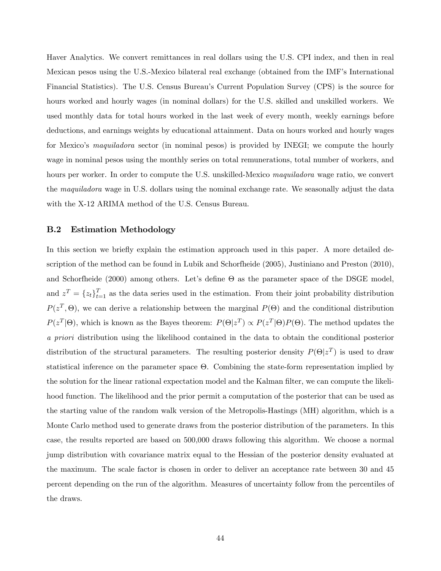Haver Analytics. We convert remittances in real dollars using the U.S. CPI index, and then in real Mexican pesos using the U.S.-Mexico bilateral real exchange (obtained from the IMF's International Financial Statistics). The U.S. Census Bureauís Current Population Survey (CPS) is the source for hours worked and hourly wages (in nominal dollars) for the U.S. skilled and unskilled workers. We used monthly data for total hours worked in the last week of every month, weekly earnings before deductions, and earnings weights by educational attainment. Data on hours worked and hourly wages for Mexico's *maquiladora* sector (in nominal pesos) is provided by INEGI; we compute the hourly wage in nominal pesos using the monthly series on total remunerations, total number of workers, and hours per worker. In order to compute the U.S. unskilled-Mexico *maquiladora* wage ratio, we convert the *maquiladora* wage in U.S. dollars using the nominal exchange rate. We seasonally adjust the data with the X-12 ARIMA method of the U.S. Census Bureau.

#### B.2 Estimation Methodology

In this section we briefly explain the estimation approach used in this paper. A more detailed description of the method can be found in Lubik and Schorfheide (2005), Justiniano and Preston (2010), and Schorfheide (2000) among others. Let's define  $\Theta$  as the parameter space of the DSGE model, and  $z^T = \{z_t\}_{t=1}^T$  as the data series used in the estimation. From their joint probability distribution  $P(z^T, \Theta)$ , we can derive a relationship between the marginal  $P(\Theta)$  and the conditional distribution  $P(z^T|\Theta)$ , which is known as the Bayes theorem:  $P(\Theta|z^T) \propto P(z^T|\Theta)P(\Theta)$ . The method updates the a priori distribution using the likelihood contained in the data to obtain the conditional posterior distribution of the structural parameters. The resulting posterior density  $P(\Theta | z^T)$  is used to draw statistical inference on the parameter space  $\Theta$ . Combining the state-form representation implied by the solution for the linear rational expectation model and the Kalman filter, we can compute the likelihood function. The likelihood and the prior permit a computation of the posterior that can be used as the starting value of the random walk version of the Metropolis-Hastings (MH) algorithm, which is a Monte Carlo method used to generate draws from the posterior distribution of the parameters. In this case, the results reported are based on 500,000 draws following this algorithm. We choose a normal jump distribution with covariance matrix equal to the Hessian of the posterior density evaluated at the maximum. The scale factor is chosen in order to deliver an acceptance rate between 30 and 45 percent depending on the run of the algorithm. Measures of uncertainty follow from the percentiles of the draws.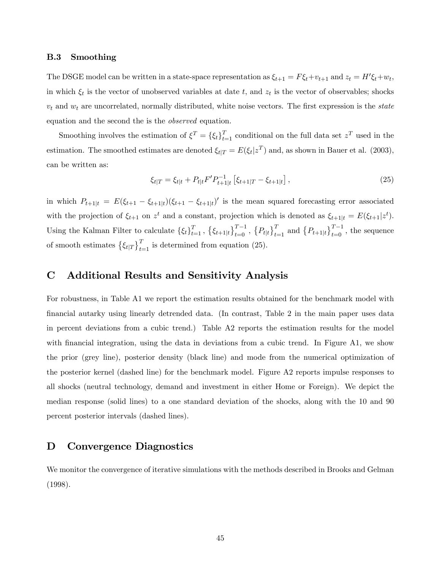#### B.3 Smoothing

The DSGE model can be written in a state-space representation as  $\xi_{t+1} = F \xi_t + v_{t+1}$  and  $z_t = H' \xi_t + w_t$ , in which  $\xi_t$  is the vector of unobserved variables at date t, and  $z_t$  is the vector of observables; shocks  $v_t$  and  $w_t$  are uncorrelated, normally distributed, white noise vectors. The first expression is the state equation and the second the is the *observed* equation.

Smoothing involves the estimation of  $\xi^T = \{\xi_t\}_{t=1}^T$  conditional on the full data set  $z^T$  used in the estimation. The smoothed estimates are denoted  $\xi_{t|T} = E(\xi_t|z^T)$  and, as shown in Bauer et al. (2003), can be written as:

$$
\xi_{t|T} = \xi_{t|t} + P_{t|t} F' P_{t+1|t}^{-1} \left[ \xi_{t+1|T} - \xi_{t+1|t} \right],
$$
\n(25)

in which  $P_{t+1|t} = E(\xi_{t+1} - \xi_{t+1|t})(\xi_{t+1} - \xi_{t+1|t})'$  is the mean squared forecasting error associated with the projection of  $\xi_{t+1}$  on  $z^t$  and a constant, projection which is denoted as  $\xi_{t+1|t} = E(\xi_{t+1}|z^t)$ . Using the Kalman Filter to calculate  $\{\xi_t\}_{t=1}^T$ ,  $\{\xi_{t+1|t}\}_{t=0}^{T-1}$ ,  $\{P_{t|t}\}_{t=1}^T$  and  $\{P_{t+1|t}\}_{t=0}^{T-1}$ , the sequence of smooth estimates  $\{\xi_{t|T}\}_{t=1}^T$  is determined from equation (25).

#### C Additional Results and Sensitivity Analysis

For robustness, in Table A1 we report the estimation results obtained for the benchmark model with Önancial autarky using linearly detrended data. (In contrast, Table 2 in the main paper uses data in percent deviations from a cubic trend.) Table A2 reports the estimation results for the model with financial integration, using the data in deviations from a cubic trend. In Figure A1, we show the prior (grey line), posterior density (black line) and mode from the numerical optimization of the posterior kernel (dashed line) for the benchmark model. Figure A2 reports impulse responses to all shocks (neutral technology, demand and investment in either Home or Foreign). We depict the median response (solid lines) to a one standard deviation of the shocks, along with the 10 and 90 percent posterior intervals (dashed lines).

#### D Convergence Diagnostics

We monitor the convergence of iterative simulations with the methods described in Brooks and Gelman (1998).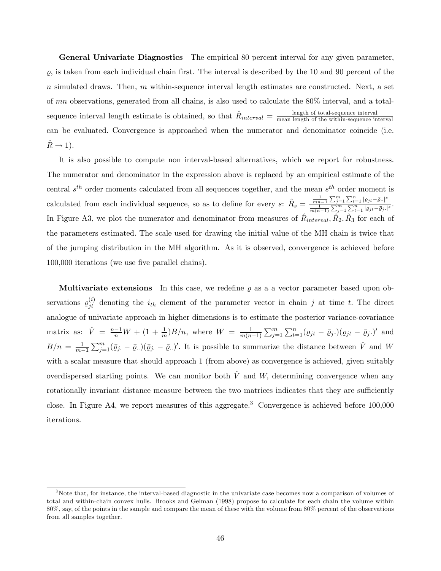General Univariate Diagnostics The empirical 80 percent interval for any given parameter,  $\rho$ , is taken from each individual chain first. The interval is described by the 10 and 90 percent of the n simulated draws. Then,  $m$  within-sequence interval length estimates are constructed. Next, a set of mn observations, generated from all chains, is also used to calculate the 80% interval, and a totalsequence interval length estimate is obtained, so that  $\hat{R}_{interval} = \frac{\text{length of total-sequence interval}}{\text{mean length of the within-sequence in}}$ mean length of the within-sequence interval can be evaluated: Convergence is approached when the numerator and denominator coincide (i.e.  $\ddot{R} \rightarrow 1$ ).

It is also possible to compute non interval-based alternatives, which we report for robustness. The numerator and denominator in the expression above is replaced by an empirical estimate of the central  $s^{th}$  order moments calculated from all sequences together, and the mean  $s^{th}$  order moment is calculated from each individual sequence, so as to define for every  $s: \hat{R}_s = \frac{\frac{1}{mn-1} \sum_{j=1}^m \sum_{k=1}^n |\varrho_{jt} - \bar{\varrho}_{sj}|^s}{\frac{1}{2} \sum_{j=1}^m \sum_{k=1}^m |\varrho_{jt} - \bar{\varrho}_{sj}|^s}$  $\frac{\frac{mn-1}{1} \sum_{j=1}^{n} \sum_{t=1}^{n} |g_j t - \bar{g}_j|^{s}}{\frac{1}{m(n-1)} \sum_{j=1}^{m} \sum_{t=1}^{n} |g_j t - \bar{g}_j|^{s}}.$ In Figure A3, we plot the numerator and denominator from measures of  $\hat{R}_{interval}$ ,  $\hat{R}_2$ ,  $\hat{R}_3$  for each of the parameters estimated: The scale used for drawing the initial value of the MH chain is twice that of the jumping distribution in the MH algorithm. As it is observed, convergence is achieved before 100,000 iterations (we use five parallel chains).

**Multivariate extensions** In this case, we redefine  $\rho$  as a a vector parameter based upon observations  $\varrho_{jt}^{(i)}$  denoting the  $i_{th}$  element of the parameter vector in chain j at time t. The direct analogue of univariate approach in higher dimensions is to estimate the posterior variance-covariance matrix as:  $\hat{V} = \frac{n-1}{n}W + (1 + \frac{1}{m})B/n$ , where  $W = \frac{1}{m(n)}$  $m(n-1)$  $\sum_{j=1}^{m} \sum_{t=1}^{n} (\varrho_{jt} - \bar{\varrho}_j)(\varrho_{jt} - \bar{\varrho}_j)$  and  $B/n = \frac{1}{m}$  $\frac{1}{m-1}\sum_{j=1}^m(\bar{\varrho}_{j.}-\bar{\varrho}_{..})(\bar{\varrho}_{j.}-\bar{\varrho}_{..})'$ . It is possible to summarize the distance between  $\hat{V}$  and W with a scalar measure that should approach 1 (from above) as convergence is achieved, given suitably overdispersed starting points. We can monitor both  $\hat{V}$  and W; determining convergence when any rotationally invariant distance measure between the two matrices indicates that they are sufficiently close. In Figure A4, we report measures of this aggregate.<sup>3</sup> Convergence is achieved before  $100,000$ iterations.

 $3$ Note that, for instance, the interval-based diagnostic in the univariate case becomes now a comparison of volumes of total and within-chain convex hulls. Brooks and Gelman (1998) propose to calculate for each chain the volume within 80%, say, of the points in the sample and compare the mean of these with the volume from 80% percent of the observations from all samples together.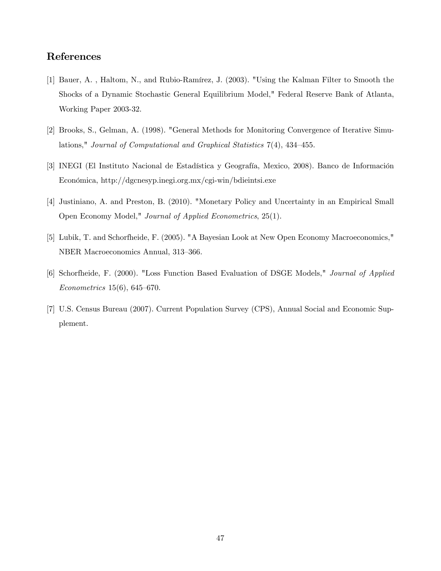## References

- [1] Bauer, A., Haltom, N., and Rubio-Ramírez, J. (2003). "Using the Kalman Filter to Smooth the Shocks of a Dynamic Stochastic General Equilibrium Model," Federal Reserve Bank of Atlanta, Working Paper 2003-32.
- [2] Brooks, S., Gelman, A. (1998). "General Methods for Monitoring Convergence of Iterative Simulations," Journal of Computational and Graphical Statistics  $7(4)$ ,  $434-455$ .
- [3] INEGI (El Instituto Nacional de Estadística y Geografía, Mexico, 2008). Banco de Información Económica, http://dgcnesyp.inegi.org.mx/cgi-win/bdieintsi.exe
- [4] Justiniano, A. and Preston, B. (2010). "Monetary Policy and Uncertainty in an Empirical Small Open Economy Model," Journal of Applied Econometrics, 25(1).
- [5] Lubik, T. and Schorfheide, F. (2005). "A Bayesian Look at New Open Economy Macroeconomics," NBER Macroeconomics Annual, 313–366.
- [6] Schorfheide, F. (2000). "Loss Function Based Evaluation of DSGE Models," Journal of Applied Econometrics 15(6), 645–670.
- [7] U.S. Census Bureau (2007). Current Population Survey (CPS), Annual Social and Economic Supplement.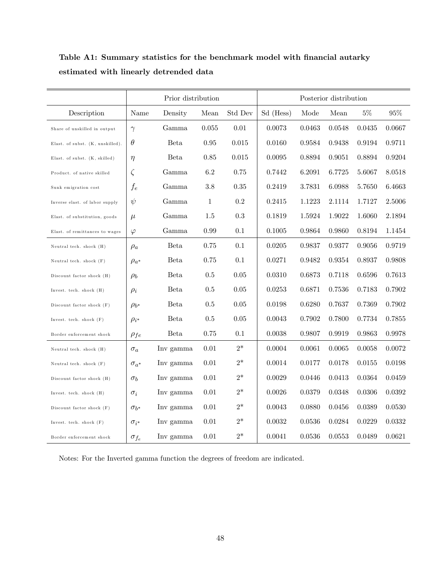Table A1: Summary statistics for the benchmark model with financial autarky estimated with linearly detrended data

|                                  | Prior distribution |             |              | Posterior distribution |           |              |        |        |        |
|----------------------------------|--------------------|-------------|--------------|------------------------|-----------|--------------|--------|--------|--------|
| Description                      | Name               | Density     | Mean         | Std Dev                | Sd (Hess) | Mode         | Mean   | $5\%$  | 95%    |
| Share of unskilled in output     | $\gamma$           | Gamma       | 0.055        | 0.01                   | 0.0073    | 0.0463       | 0.0548 | 0.0435 | 0.0667 |
| Elast. of subst. (K, unskilled). | $\theta$           | Beta        | 0.95         | 0.015                  | 0.0160    | 0.9584       | 0.9438 | 0.9194 | 0.9711 |
| Elast. of subst. (K, skilled)    | $\eta$             | <b>Beta</b> | 0.85         | 0.015                  | 0.0095    | 0.8894       | 0.9051 | 0.8894 | 0.9204 |
| Product. of native skilled       | $\zeta$            | Gamma       | 6.2          | $0.75\,$               | 0.7442    | 6.2091       | 6.7725 | 5.6067 | 8.0518 |
| Sunk emigration cost             | $f_e$              | Gamma       | $3.8\,$      | $0.35\,$               | 0.2419    | 3.7831       | 6.0988 | 5.7650 | 6.4663 |
| Inverse elast. of labor supply   | $\psi$             | Gamma       | $\mathbf{1}$ | $\rm 0.2$              | 0.2415    | 1.1223       | 2.1114 | 1.7127 | 2.5006 |
| Elast. of substitution, goods    | $\mu$              | Gamma       | $1.5\,$      | $\rm 0.3$              | 0.1819    | 1.5924       | 1.9022 | 1.6060 | 2.1894 |
| Elast. of remittances to wages   | $\varphi$          | Gamma       | 0.99         | $0.1\,$                | 0.1005    | 0.9864       | 0.9860 | 0.8194 | 1.1454 |
| Neutral tech. shock (H)          | $\rho_a$           | Beta        | 0.75         | 0.1                    | 0.0205    | 0.9837       | 0.9377 | 0.9056 | 0.9719 |
| Neutral tech. shock (F)          | $\rho_{a^*}$       | Beta        | 0.75         | 0.1                    | 0.0271    | $\,0.9482\,$ | 0.9354 | 0.8937 | 0.9808 |
| Discount factor shock (H)        | $\rho_b$           | <b>Beta</b> | $0.5\,$      | 0.05                   | 0.0310    | 0.6873       | 0.7118 | 0.6596 | 0.7613 |
| Invest. tech. shock (H)          | $\rho_i$           | <b>Beta</b> | $0.5\,$      | 0.05                   | 0.0253    | 0.6871       | 0.7536 | 0.7183 | 0.7902 |
| Discount factor shock (F)        | $\rho_{b^*}$       | Beta        | 0.5          | 0.05                   | 0.0198    | 0.6280       | 0.7637 | 0.7369 | 0.7902 |
| Invest. tech. shock $(F)$        | $\rho_{i^*}$       | <b>Beta</b> | $0.5\,$      | 0.05                   | 0.0043    | 0.7902       | 0.7800 | 0.7734 | 0.7855 |
| Border enforcement shock         | $\rho_{fe}$        | Beta        | 0.75         | 0.1                    | 0.0038    | 0.9807       | 0.9919 | 0.9863 | 0.9978 |
| Neutral tech. shock (H)          | $\sigma_a$         | Inv gamma   | 0.01         | $2^*$                  | 0.0004    | 0.0061       | 0.0065 | 0.0058 | 0.0072 |
| Neutral tech. shock (F)          | $\sigma_{a^*}$     | Inv gamma   | $0.01\,$     | $2^*$                  | 0.0014    | 0.0177       | 0.0178 | 0.0155 | 0.0198 |
| Discount factor shock (H)        | $\sigma_b$         | Inv gamma   | 0.01         | $2^*$                  | 0.0029    | 0.0446       | 0.0413 | 0.0364 | 0.0459 |
| Invest. tech. shock (H)          | $\sigma_i$         | Inv gamma   | 0.01         | $2^*$                  | 0.0026    | 0.0379       | 0.0348 | 0.0306 | 0.0392 |
| Discount factor shock (F)        | $\sigma_{b^*}$     | Inv gamma   | 0.01         | $2^*$                  | 0.0043    | 0.0880       | 0.0456 | 0.0389 | 0.0530 |
| Invest. tech. shock (F)          | $\sigma_{i^*}$     | Inv gamma   | $0.01\,$     | $2^*$                  | 0.0032    | 0.0536       | 0.0284 | 0.0229 | 0.0332 |
| Border enforcement shock         | $\sigma_{f_e}$     | Inv gamma   | 0.01         | $2^*$                  | 0.0041    | 0.0536       | 0.0553 | 0.0489 | 0.0621 |

Notes: For the Inverted gamma function the degrees of freedom are indicated.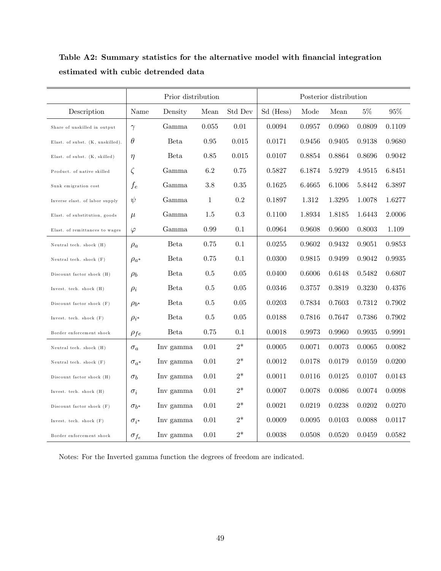Prior distribution Posterior distribution Description Name Density Mean Std Dev Sd (Hess) Mode Mean 5% 95% Share of unskilled in output  $\begin{array}{ccc} \gamma \qquad \qquad \text{Gamma} \qquad 0.055 \qquad 0.01 \end{array}$  0.0094 0.0957 0.0960 0.0809 0.1109 Ela st. o f su b st. (K , u n skilled ). Beta 0.95 0.015 0.0171 0.9456 0.9405 0.9138 0.9680 Elast. of subst. (K, skilled)  $\eta$  Beta 0.85 0.015 0.0107 0.8854 0.8864 0.8696 0.9042 Product. of native skilled  $\zeta$  Gamma 6.2 0.75 0.5827 6.1874 5.9279 4.9515 6.8451 Sunk emigration cost fe  $f_e$  Gamma 3.8 0.35 0.1625 6.4665 6.1006 5.8442 6.3897 Inverse elast. of labor supply  $\psi$  Gamma 1 0.2 0.1897 1.312 1.3295 1.0078 1.6277 Elast. of substitution, goods  $\mu$  Gamma 1.5 0.3 0.1100 1.8934 1.8185 1.6443 2.0006 Elast. of remittances to wages  $\varphi$  Gamma 0.99 0.1 0.0964 0.9608 0.9600 0.8003 1.109 Neutral tech. shock (H)  $\rho_a$  Beta 0.75 0.1 0.0255 0.9602 0.9432 0.9051 0.9853 Neutral tech. shock  $(F)$  |  $\rho_a*$  Beta 0.75 0.1 0.0300 0.9815 0.9499 0.9042 0.9935 Discount factor shock (H)  $\begin{array}{|c|c|c|c|c|c|} \hline \end{array}$  b Beta 0.5 0.05 0.0400 0.6006 0.6148 0.5482 0.6807 Invest. tech. shock (H)  $\rho_i$  Beta 0.5 0.05 0.0346 0.3757 0.3819 0.3230 0.4376 Discount factor shock  $(F)$  |  $\rho_{b^*}$  Beta 0.5 0.05 0.0203 0.7834 0.7603 0.7312 0.7902 Invest. tech. shock  $(F)$   $\rho_i^*$  $\ast$  Beta 0.5 0.05 0.0188 0.7816 0.7647 0.7386 0.7902 B o rd e r en fo rcem ent sho ck fe Beta 0.75 0.1 0.0018 0.9973 0.9960 0.9935 0.9991 Neutral tech. shock (H)  $\sigma_a$  Inv gamma 0.01 2\* 0.0005 0.0071 0.0073 0.0065 0.0082 Neutral tech. shock  $(F)$   $\sigma_{a^*}$ Inv gamma  $0.01 \t 2^* \t 0.0012 \t 0.0178 \t 0.0179 \t 0.0159 \t 0.0200$ Discount factor shock (H)  $\sigma_b$  Inv gamma 0.01 2\* 0.0011 0.0116 0.0125 0.0107 0.0143 Invest. tech. shock (H)  $\sigma_i$  Inv gamma 0.01 2\* 0.0007 0.0078 0.0086 0.0074 0.0098 Discount factor shock  $(F)$   $\sigma_{b^*}$ Inv gamma  $0.01 \t2^* \t0.0021 \t0.0219 \t0.0238 \t0.0202 \t0.0270$ Invest. tech. shock  $(F)$   $\sigma_i^*$ Inv gamma  $0.01 \t 2^* \t 0.0009 \t 0.0095 \t 0.0103 \t 0.0088 \t 0.0117$ Border enforcement shock  $\sigma_{fe}$ Inv gamma  $0.01 \t 2^* \t 0.0038 \t 0.0508 \t 0.0520 \t 0.0459 \t 0.0582$ 

Table A2: Summary statistics for the alternative model with financial integration estimated with cubic detrended data

Notes: For the Inverted gamma function the degrees of freedom are indicated.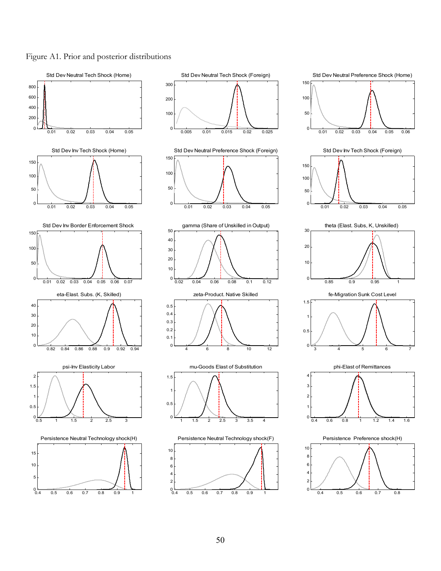#### Figure A1. Prior and posterior distributions

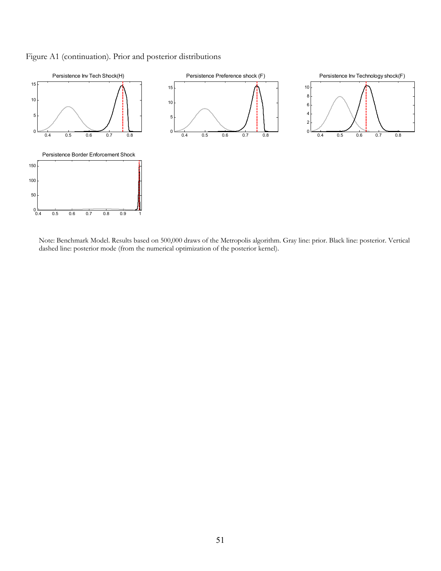

Figure A1 (continuation). Prior and posterior distributions

Note: Benchmark Model. Results based on 500,000 draws of the Metropolis algorithm. Gray line: prior. Black line: posterior. Vertical dashed line: posterior mode (from the numerical optimization of the posterior kernel).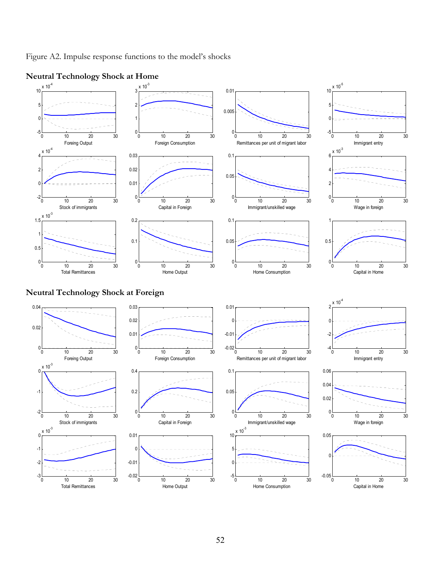Figure A2. Impulse response functions to the model's shocks



## **Neutral Technology Shock at Home**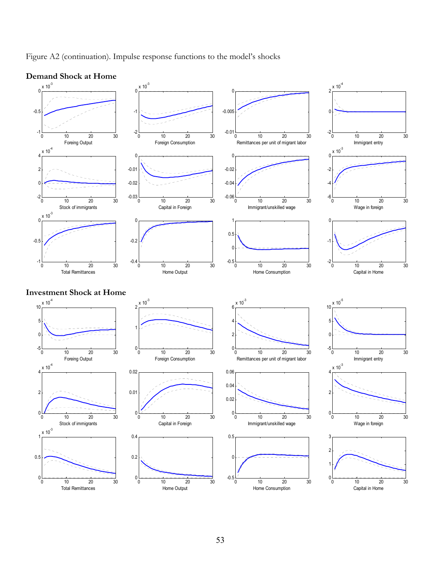



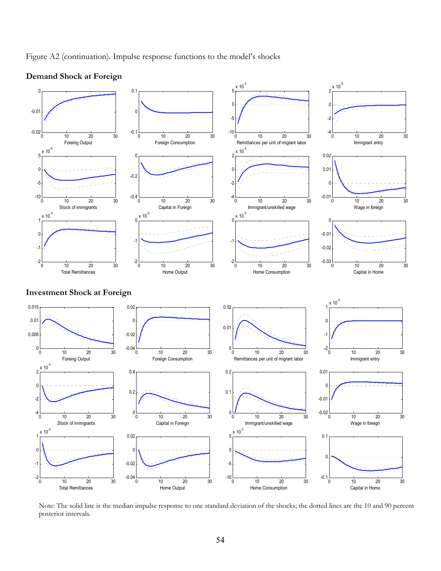

Figure A2 (continuation). Impulse response functions to the model's shocks

Total Remittances Home Output Home Consumption Capital in Home

Note: The solid line is the median impulse response to one standard deviation of the shocks; the dotted lines are the 10 and 90 percent posterior intervals.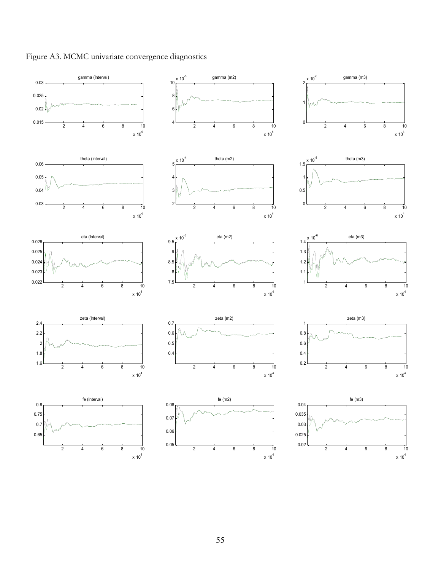

Figure A3. MCMC univariate convergence diagnostics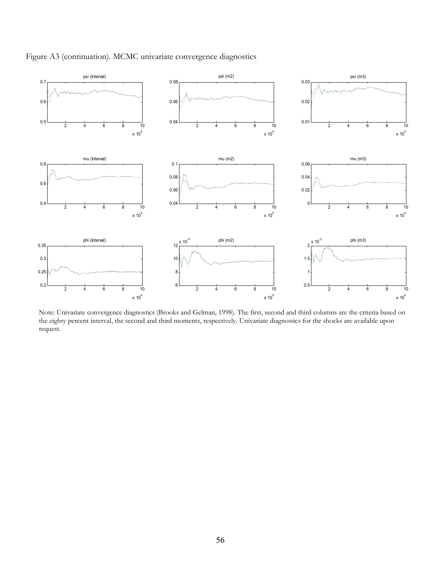

Figure A3 (continuation). MCMC univariate convergence diagnostics

Note: Univariate convergence diagnostics (Brooks and Gelman, 1998). The first, second and third columns are the criteria based on the eighty percent interval, the second and third moments, respectively. Univariate diagnostics for the shocks are available upon request.